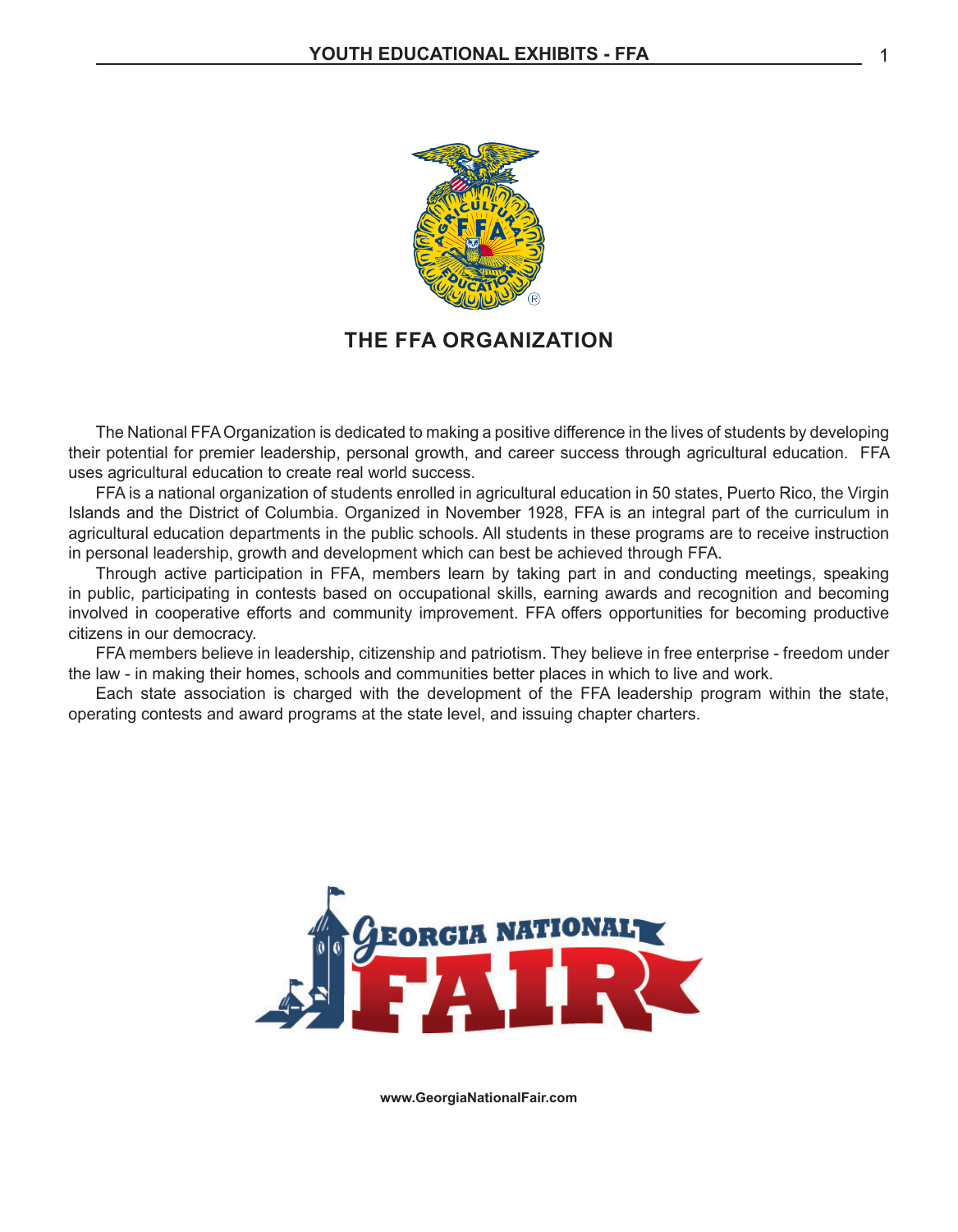

#### **THE FFA ORGANIZATION**

 The National FFAOrganization is dedicated to making a positive difference in the lives of students by developing their potential for premier leadership, personal growth, and career success through agricultural education. FFA uses agricultural education to create real world success.

 FFA is a national organization of students enrolled in agricultural education in 50 states, Puerto Rico, the Virgin Islands and the District of Columbia. Organized in November 1928, FFA is an integral part of the curriculum in agricultural education departments in the public schools. All students in these programs are to receive instruction in personal leadership, growth and development which can best be achieved through FFA.

 Through active participation in FFA, members learn by taking part in and conducting meetings, speaking in public, participating in contests based on occupational skills, earning awards and recognition and becoming involved in cooperative efforts and community improvement. FFA offers opportunities for becoming productive citizens in our democracy.

 FFA members believe in leadership, citizenship and patriotism. They believe in free enterprise - freedom under the law - in making their homes, schools and communities better places in which to live and work.

 Each state association is charged with the development of the FFA leadership program within the state, operating contests and award programs at the state level, and issuing chapter charters.



**www.GeorgiaNationalFair.com**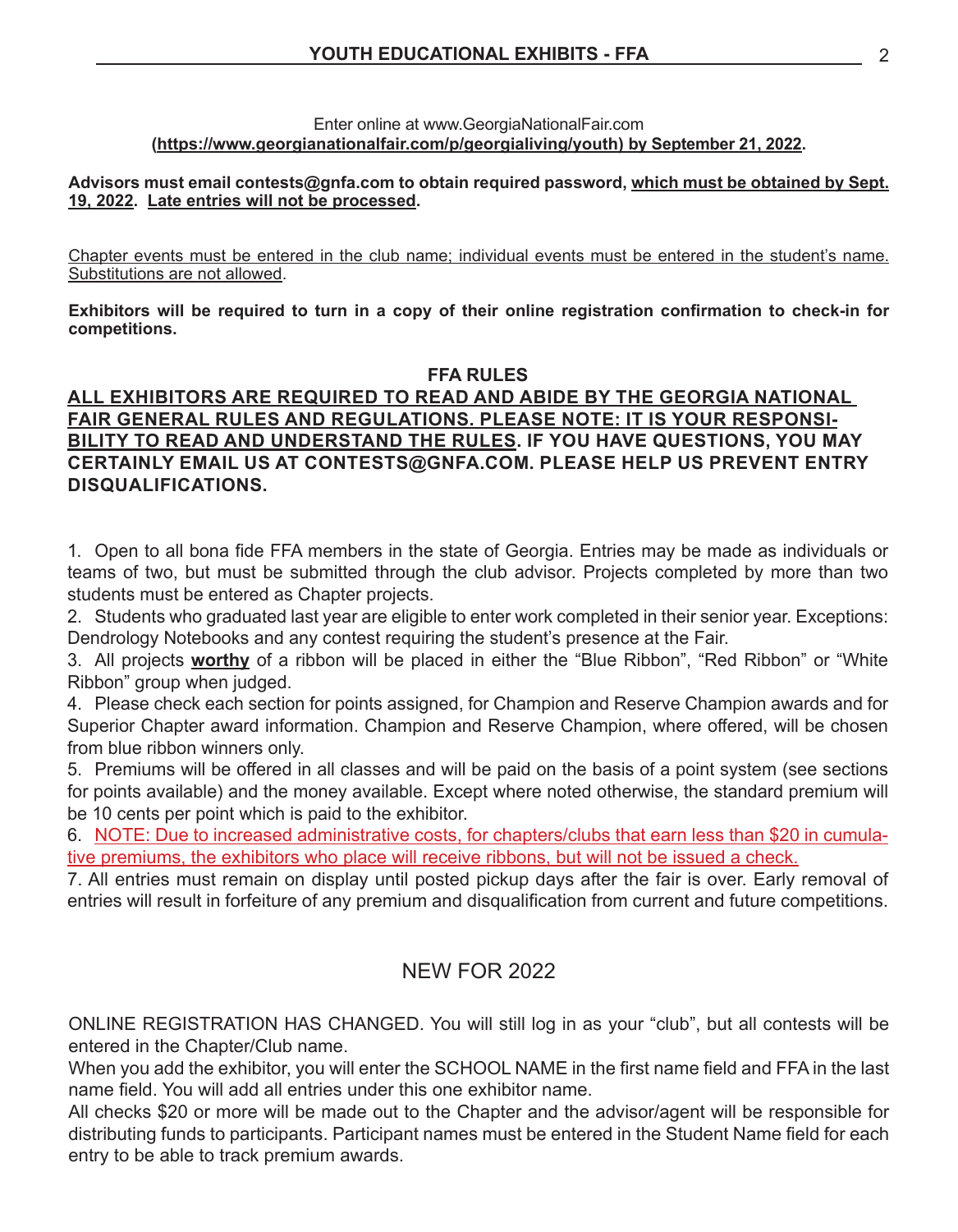#### Enter online at www.GeorgiaNationalFair.com **(https://www.georgianationalfair.com/p/georgialiving/youth) by September 21, 2022.**

#### **Advisors must email contests@gnfa.com to obtain required password, which must be obtained by Sept. 19, 2022. Late entries will not be processed.**

Chapter events must be entered in the club name; individual events must be entered in the student's name. Substitutions are not allowed.

**Exhibitors will be required to turn in a copy of their online registration confirmation to check-in for competitions.**

#### **FFA RULES**

#### **ALL EXHIBITORS ARE REQUIRED TO READ AND ABIDE BY THE GEORGIA NATIONAL FAIR GENERAL RULES AND REGULATIONS. PLEASE NOTE: IT IS YOUR RESPONSI-BILITY TO READ AND UNDERSTAND THE RULES. IF YOU HAVE QUESTIONS, YOU MAY CERTAINLY EMAIL US AT CONTESTS@GNFA.COM. PLEASE HELP US PREVENT ENTRY DISQUALIFICATIONS.**

1. Open to all bona fide FFA members in the state of Georgia. Entries may be made as individuals or teams of two, but must be submitted through the club advisor. Projects completed by more than two students must be entered as Chapter projects.

2. Students who graduated last year are eligible to enter work completed in their senior year. Exceptions: Dendrology Notebooks and any contest requiring the student's presence at the Fair.

3. All projects **worthy** of a ribbon will be placed in either the "Blue Ribbon", "Red Ribbon" or "White Ribbon" group when judged.

4. Please check each section for points assigned, for Champion and Reserve Champion awards and for Superior Chapter award information. Champion and Reserve Champion, where offered, will be chosen from blue ribbon winners only.

5. Premiums will be offered in all classes and will be paid on the basis of a point system (see sections for points available) and the money available. Except where noted otherwise, the standard premium will be 10 cents per point which is paid to the exhibitor.

6. NOTE: Due to increased administrative costs, for chapters/clubs that earn less than \$20 in cumulative premiums, the exhibitors who place will receive ribbons, but will not be issued a check.

7. All entries must remain on display until posted pickup days after the fair is over. Early removal of entries will result in forfeiture of any premium and disqualification from current and future competitions.

#### NEW FOR 2022

ONLINE REGISTRATION HAS CHANGED. You will still log in as your "club", but all contests will be entered in the Chapter/Club name.

When you add the exhibitor, you will enter the SCHOOL NAME in the first name field and FFA in the last name field. You will add all entries under this one exhibitor name.

All checks \$20 or more will be made out to the Chapter and the advisor/agent will be responsible for distributing funds to participants. Participant names must be entered in the Student Name field for each entry to be able to track premium awards.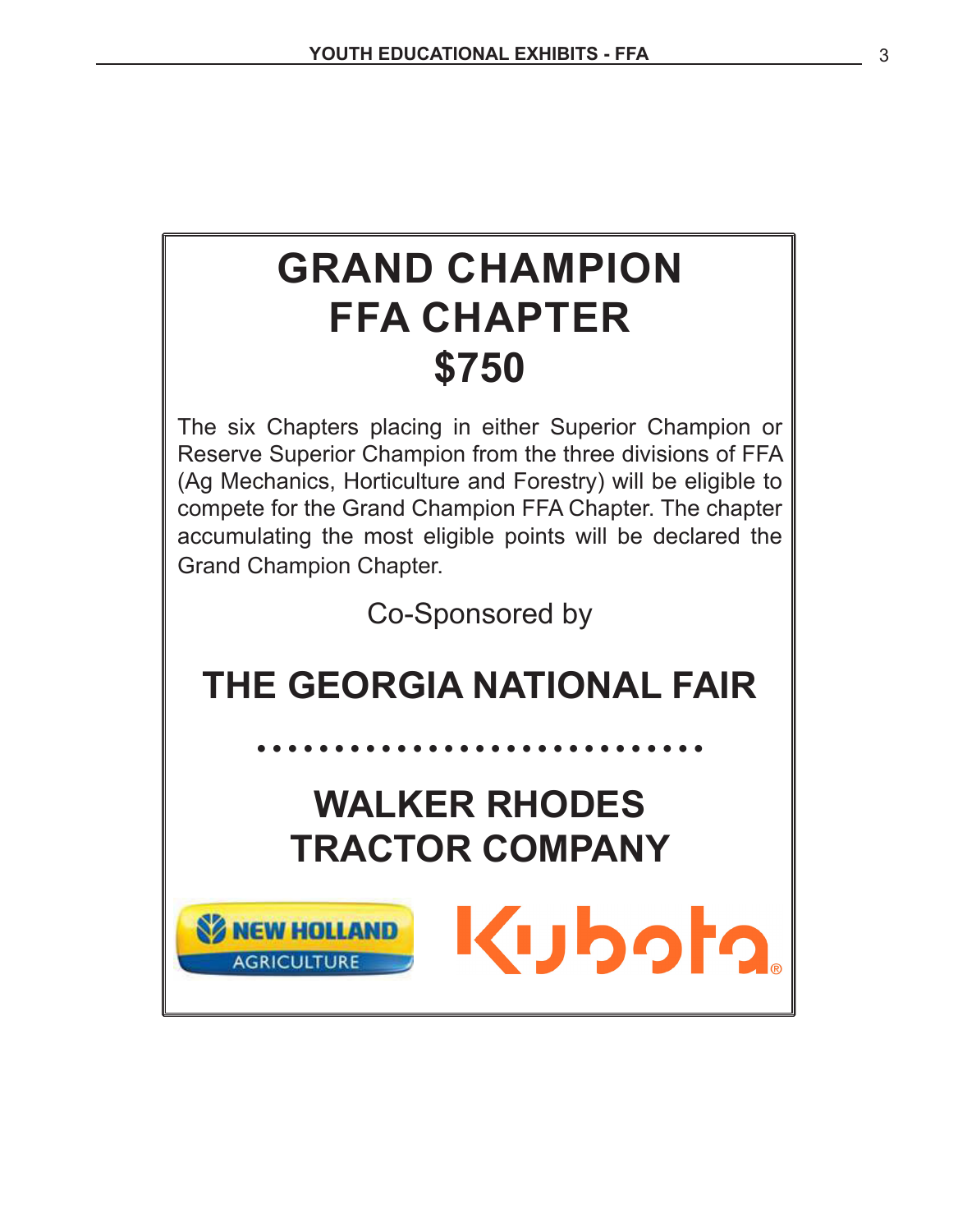# **GRAND CHAMPION FFA CHAPTER \$750**

The six Chapters placing in either Superior Champion or Reserve Superior Champion from the three divisions of FFA (Ag Mechanics, Horticulture and Forestry) will be eligible to compete for the Grand Champion FFA Chapter. The chapter accumulating the most eligible points will be declared the Grand Champion Chapter.

Co-Sponsored by

## **THE GEORGIA NATIONAL FAIR**

**• • • • • • • • • • • • • • • • • • • • • • • • • • • • •**

## **WALKER RHODES TRACTOR COMPANY**

**SZ NEW HOLLAND** 

**AGRICULTURE** 

Kuboto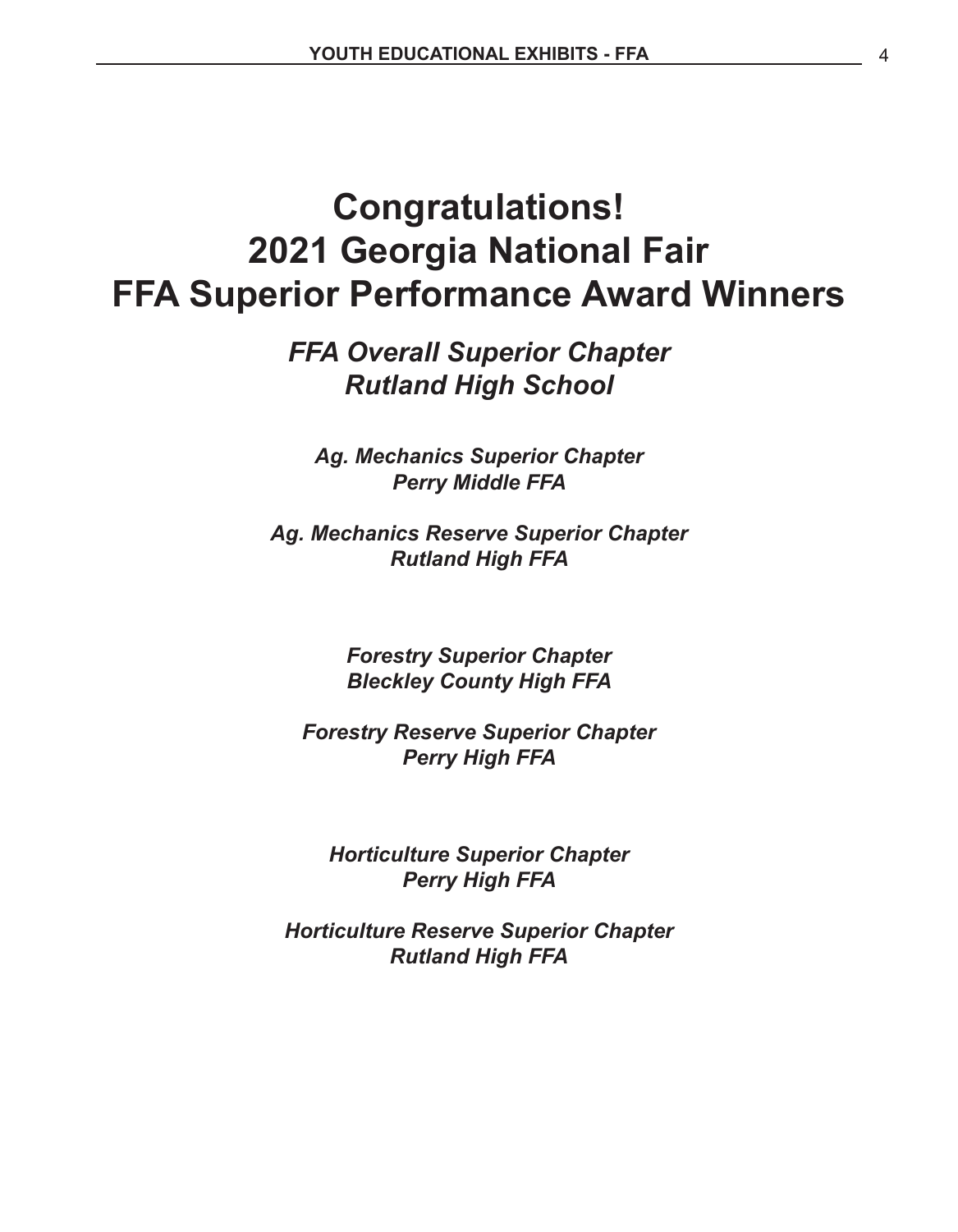## **Congratulations! 2021 Georgia National Fair FFA Superior Performance Award Winners**

*FFA Overall Superior Chapter Rutland High School*

*Ag. Mechanics Superior Chapter Perry Middle FFA*

*Ag. Mechanics Reserve Superior Chapter Rutland High FFA*

> *Forestry Superior Chapter Bleckley County High FFA*

*Forestry Reserve Superior Chapter Perry High FFA*

*Horticulture Superior Chapter Perry High FFA*

*Horticulture Reserve Superior Chapter Rutland High FFA*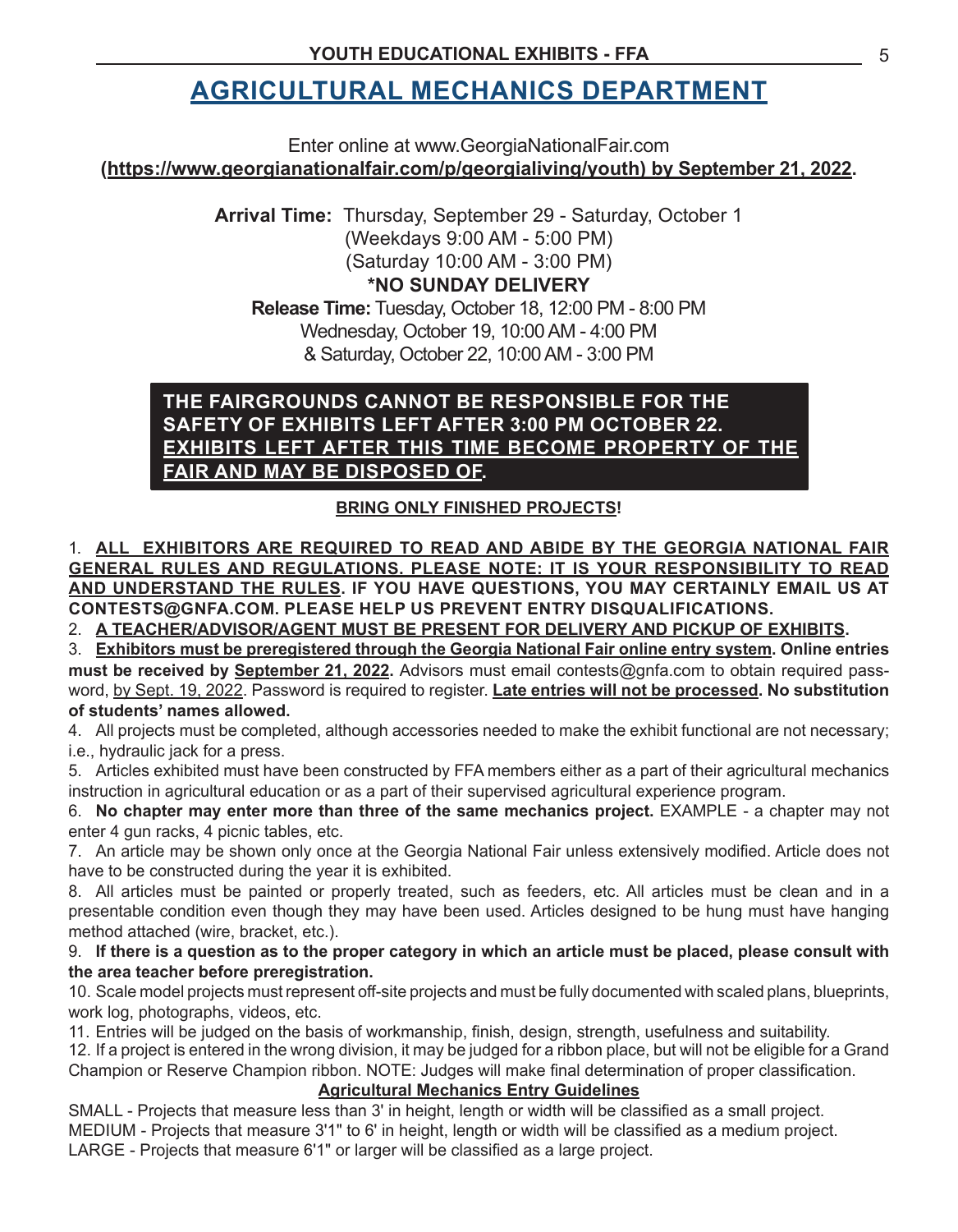### **AGRICULTURAL MECHANICS DEPARTMENT**

Enter online at www.GeorgiaNationalFair.com **(https://www.georgianationalfair.com/p/georgialiving/youth) by September 21, 2022.**

> **Arrival Time:** Thursday, September 29 - Saturday, October 1 (Weekdays 9:00 AM - 5:00 PM) (Saturday 10:00 AM - 3:00 PM) **\*NO SUNDAY DELIVERY**

**Release Time:** Tuesday, October 18, 12:00 PM - 8:00 PM Wednesday, October 19, 10:00AM - 4:00 PM & Saturday, October 22, 10:00AM - 3:00 PM

#### **THE FAIRGROUNDS CANNOT BE RESPONSIBLE FOR THE SAFETY OF EXHIBITS LEFT AFTER 3:00 PM OCTOBER 22. EXHIBITS LEFT AFTER THIS TIME BECOME PROPERTY OF THE FAIR AND MAY BE DISPOSED OF.**

#### **BRING ONLY FINISHED PROJECTS!**

**1. ALL EXHIBITORS ARE REQUIRED TO READ AND ABIDE BY THE GEORGIA NATIONAL FAIR GENERAL RULES AND REGULATIONS. PLEASE NOTE: IT IS YOUR RESPONSIBILITY TO READ AND UNDERSTAND THE RULES. IF YOU HAVE QUESTIONS, YOU MAY CERTAINLY EMAIL US AT CONTESTS@GNFA.COM. PLEASE HELP US PREVENT ENTRY DISQUALIFICATIONS.**

2. A TEACHER/ADVISOR/AGENT MUST BE PRESENT FOR DELIVERY AND PICKUP OF EXHIBITS.

3. **Exhibitors must be preregistered through the Georgia National Fair online entry system. Online entries must be received by September 21, 2022.** Advisors must email contests@gnfa.com to obtain required password, by Sept. 19, 2022. Password is required to register. **Late entries will not be processed. No substitution of students' names allowed.**

4. All projects must be completed, although accessories needed to make the exhibit functional are not necessary; i.e., hydraulic jack for a press.

5. Articles exhibited must have been constructed by FFA members either as a part of their agricultural mechanics instruction in agricultural education or as a part of their supervised agricultural experience program.

6. **No chapter may enter more than three of the same mechanics project.** EXAMPLE - a chapter may not enter 4 gun racks, 4 picnic tables, etc.

7. An article may be shown only once at the Georgia National Fair unless extensively modified. Article does not have to be constructed during the year it is exhibited.

8. All articles must be painted or properly treated, such as feeders, etc. All articles must be clean and in a presentable condition even though they may have been used. Articles designed to be hung must have hanging method attached (wire, bracket, etc.).

9. **If there is a question as to the proper category in which an article must be placed, please consult with the area teacher before preregistration.**

10. Scale model projects must represent off-site projects and must be fully documented with scaled plans, blueprints, work log, photographs, videos, etc.

11. Entries will be judged on the basis of workmanship, finish, design, strength, usefulness and suitability.

12. If a project is entered in the wrong division, it may be judged for a ribbon place, but will not be eligible for a Grand Champion or Reserve Champion ribbon. NOTE: Judges will make final determination of proper classification.

#### **Agricultural Mechanics Entry Guidelines**

SMALL - Projects that measure less than 3' in height, length or width will be classified as a small project. MEDIUM - Projects that measure 3'1" to 6' in height, length or width will be classified as a medium project. LARGE - Projects that measure 6'1" or larger will be classified as a large project.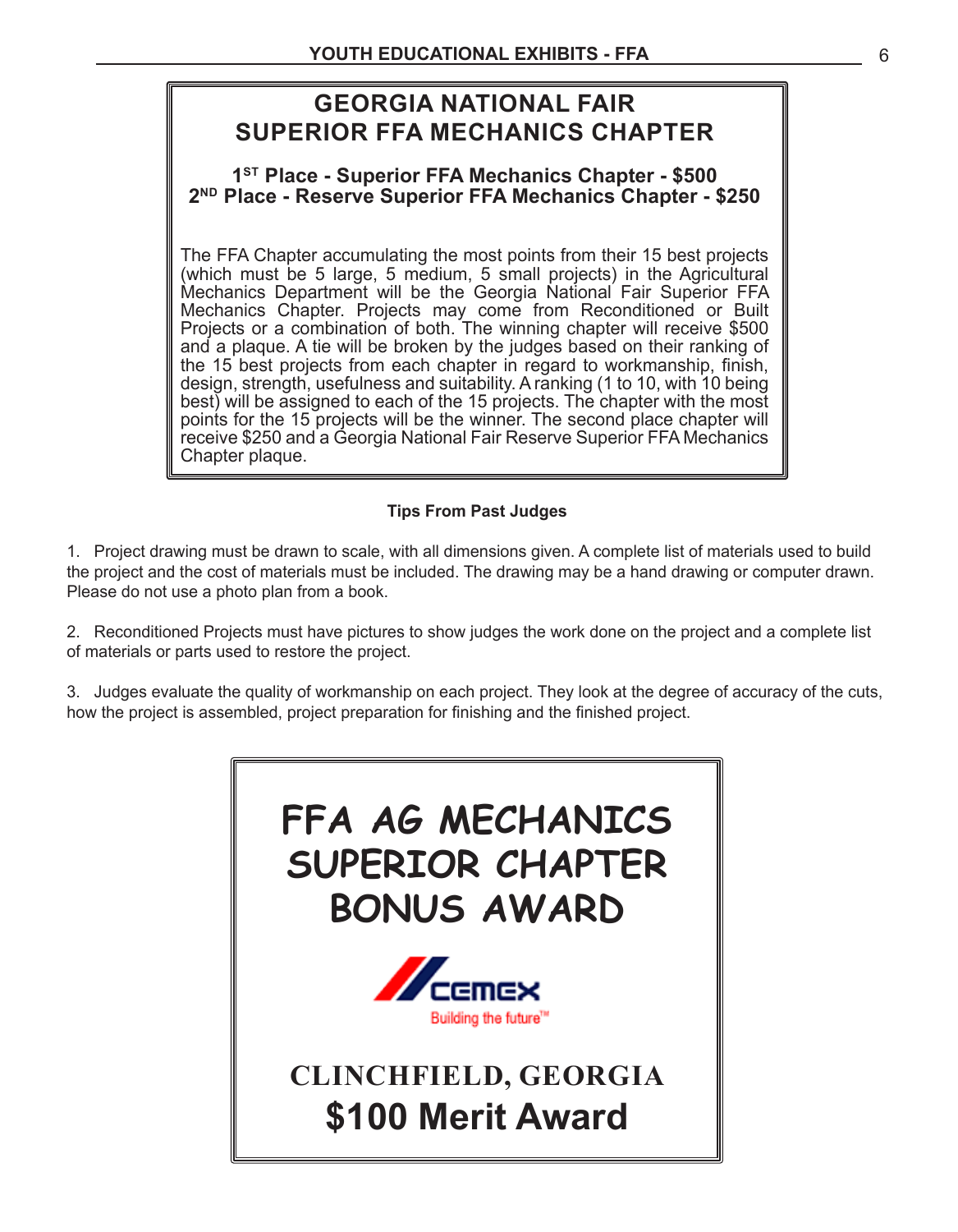### **GEORGIA NATIONAL FAIR SUPERIOR FFA MECHANICS CHAPTER**

#### **1ST Place - Superior FFA Mechanics Chapter - \$500 2ND Place - Reserve Superior FFA Mechanics Chapter - \$250**

The FFA Chapter accumulating the most points from their 15 best projects (which must be 5 large, 5 medium, 5 small projects) in the Agricultural Mechanics Department will be the Georgia National Fair Superior FFA Mechanics Chapter. Projects may come from Reconditioned or Built Projects or a combination of both. The winning chapter will receive \$500 and a plaque. A tie will be broken by the judges based on their ranking of the 15 best projects from each chapter in regard to workmanship, finish, design, strength, usefulness and suitability. A ranking (1 to 10, with 10 being best) will be assigned to each of the 15 projects. The chapter with the most points for the 15 projects will be the winner. The second place chapter will receive \$250 and a Georgia National Fair Reserve Superior FFA Mechanics Chapter plaque.

#### **Tips From Past Judges**

1. Project drawing must be drawn to scale, with all dimensions given. A complete list of materials used to build the project and the cost of materials must be included. The drawing may be a hand drawing or computer drawn. Please do not use a photo plan from a book.

2. Reconditioned Projects must have pictures to show judges the work done on the project and a complete list of materials or parts used to restore the project.

3. Judges evaluate the quality of workmanship on each project. They look at the degree of accuracy of the cuts, how the project is assembled, project preparation for finishing and the finished project.

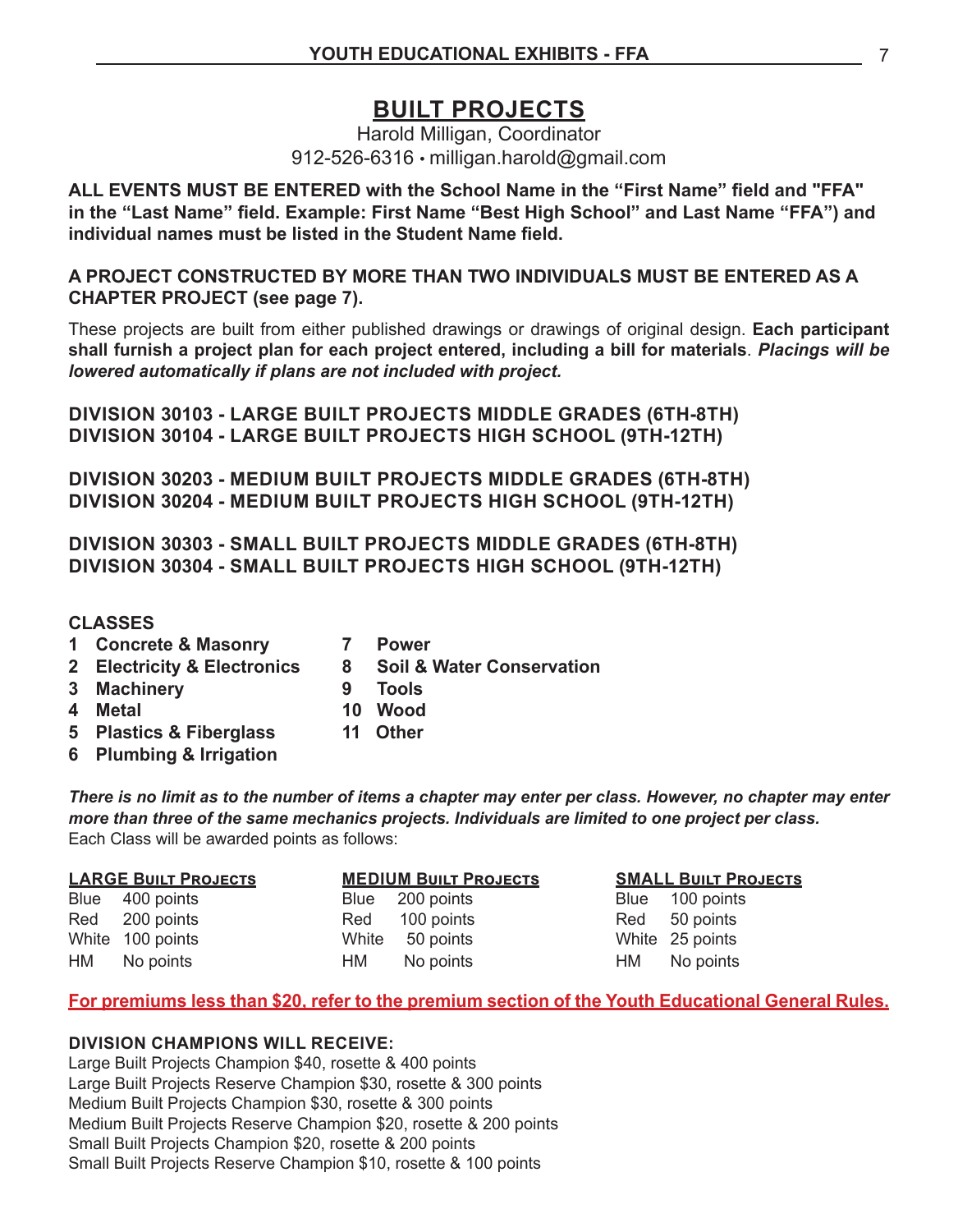### **BUILT PROJECTS**

Harold Milligan, Coordinator 912-526-6316 • milligan.harold@gmail.com

**ALL EVENTS MUST BE ENTERED with the School Name in the "First Name" field and "FFA" in the "Last Name" field. Example: First Name "Best High School" and Last Name "FFA") and individual names must be listed in the Student Name field.**

**A PROJECT CONSTRUCTED BY MORE THAN TWO INDIVIDUALS MUST BE ENTERED AS A CHAPTER PROJECT (see page 7).**

These projects are built from either published drawings or drawings of original design. **Each participant shall furnish a project plan for each project entered, including a bill for materials**. *Placings will be lowered automatically if plans are not included with project.*

**DIVISION 30103 - LARGE BUILT PROJECTS MIDDLE GRADES (6TH-8TH) DIVISION 30104 - LARGE BUILT PROJECTS HIGH SCHOOL (9TH-12TH)**

**DIVISION 30203 - MEDIUM BUILT PROJECTS MIDDLE GRADES (6TH-8TH) DIVISION 30204 - MEDIUM BUILT PROJECTS HIGH SCHOOL (9TH-12TH)**

**DIVISION 30303 - SMALL BUILT PROJECTS MIDDLE GRADES (6TH-8TH) DIVISION 30304 - SMALL BUILT PROJECTS HIGH SCHOOL (9TH-12TH)**

#### **CLASSES**

- **1 Concrete & Masonry 7 Power**
- 
- **2 Electricity & Electronics 8 Soil & Water Conservation**
- **3 Machinery 9 Tools**
- 
- **4 Metal 10 Wood**
- **5 Plastics & Fiberglass 11 Other**
- **6 Plumbing & Irrigation**

*There is no limit as to the number of items a chapter may enter per class. However, no chapter may enter more than three of the same mechanics projects. Individuals are limited to one project per class.*  Each Class will be awarded points as follows:

| <b>LARGE BUILT PROJECTS</b> |  |           |                                                                                                     | <b>SMALL BUILT PROJECTS</b> |  |
|-----------------------------|--|-----------|-----------------------------------------------------------------------------------------------------|-----------------------------|--|
| Blue 400 points             |  |           |                                                                                                     | Blue 100 points             |  |
| Red 200 points              |  |           |                                                                                                     | Red 50 points               |  |
| White 100 points            |  |           |                                                                                                     | White 25 points             |  |
| HM No points                |  | No points |                                                                                                     | HM No points                |  |
|                             |  |           | <b>MEDIUM BUILT PROJECTS</b><br>Blue 200 points<br>Red 100 points<br>White 50 points<br>HM <b>M</b> |                             |  |

#### **For premiums less than \$20, refer to the premium section of the Youth Educational General Rules.**

#### **DIVISION CHAMPIONS WILL RECEIVE:**

Large Built Projects Champion \$40, rosette & 400 points Large Built Projects Reserve Champion \$30, rosette & 300 points Medium Built Projects Champion \$30, rosette & 300 points Medium Built Projects Reserve Champion \$20, rosette & 200 points Small Built Projects Champion \$20, rosette & 200 points Small Built Projects Reserve Champion \$10, rosette & 100 points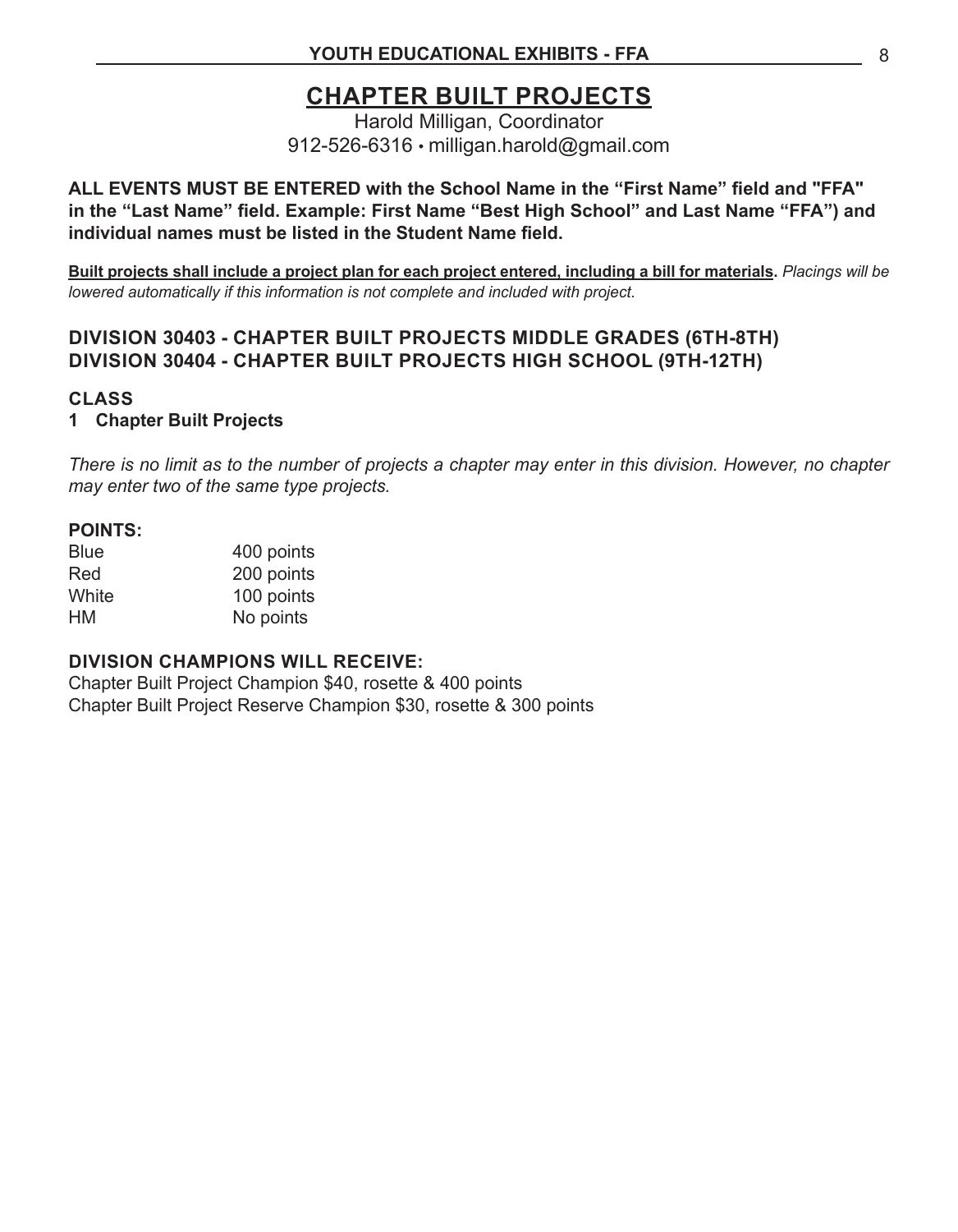### **CHAPTER BUILT PROJECTS**

Harold Milligan, Coordinator 912-526-6316 • milligan.harold@gmail.com

#### **ALL EVENTS MUST BE ENTERED with the School Name in the "First Name" field and "FFA" in the "Last Name" field. Example: First Name "Best High School" and Last Name "FFA") and individual names must be listed in the Student Name field.**

**Built projects shall include a project plan for each project entered, including a bill for materials.** *Placings will be lowered automatically if this information is not complete and included with project.*

#### **DIVISION 30403 - CHAPTER BUILT PROJECTS MIDDLE GRADES (6TH-8TH) DIVISION 30404 - CHAPTER BUILT PROJECTS HIGH SCHOOL (9TH-12TH)**

#### **CLASS**

#### **1 Chapter Built Projects**

*There is no limit as to the number of projects a chapter may enter in this division. However, no chapter may enter two of the same type projects.* 

#### **POINTS:**

| <b>Blue</b> | 400 points |
|-------------|------------|
| Red         | 200 points |
| White       | 100 points |
| HМ          | No points  |

#### **DIVISION CHAMPIONS WILL RECEIVE:**

Chapter Built Project Champion \$40, rosette & 400 points Chapter Built Project Reserve Champion \$30, rosette & 300 points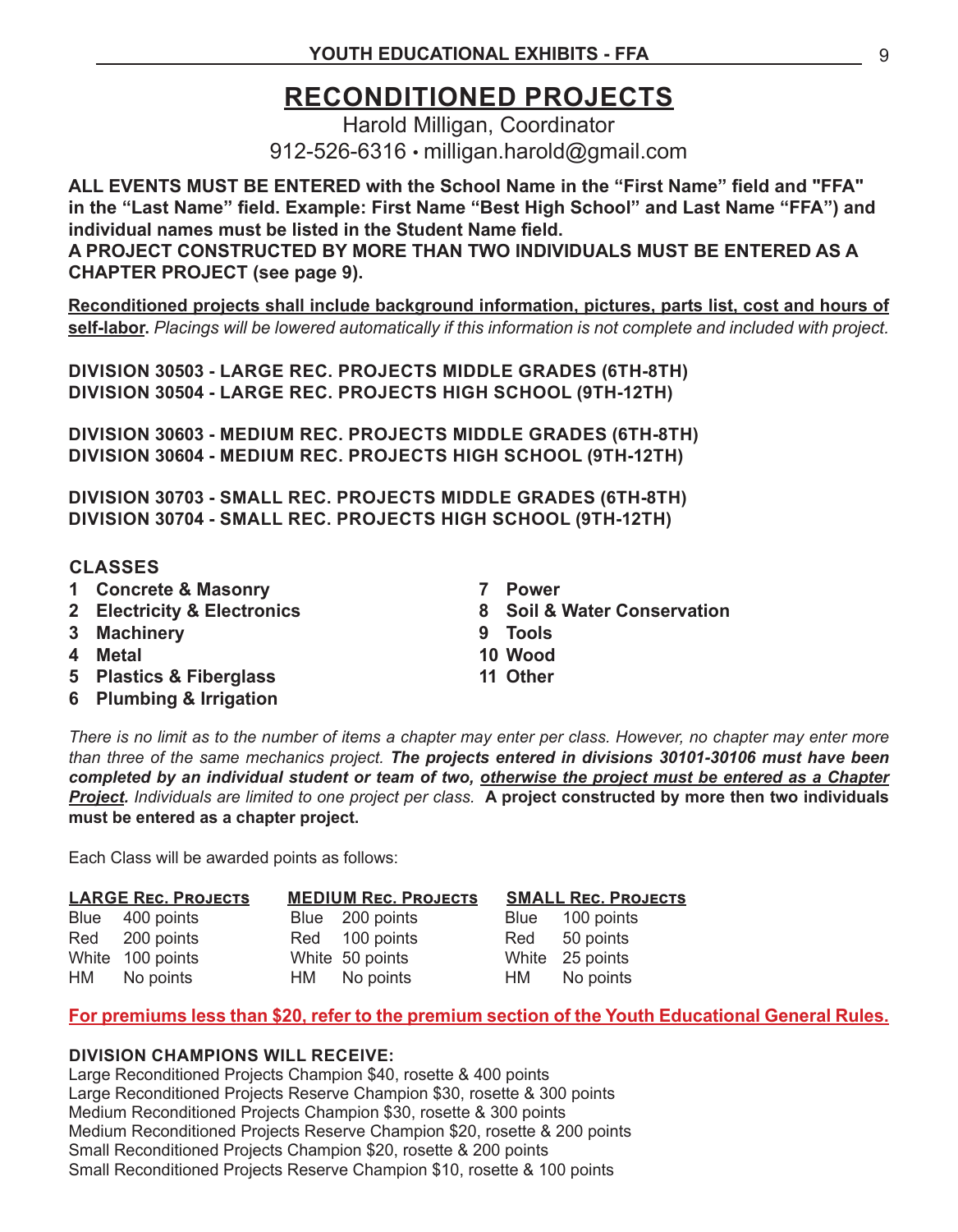### **RECONDITIONED PROJECTS**

Harold Milligan, Coordinator 912-526-6316 • milligan.harold@gmail.com

**ALL EVENTS MUST BE ENTERED with the School Name in the "First Name" field and "FFA" in the "Last Name" field. Example: First Name "Best High School" and Last Name "FFA") and individual names must be listed in the Student Name field.**

**A PROJECT CONSTRUCTED BY MORE THAN TWO INDIVIDUALS MUST BE ENTERED AS A CHAPTER PROJECT (see page 9).**

**Reconditioned projects shall include background information, pictures, parts list, cost and hours of self-labor.** *Placings will be lowered automatically if this information is not complete and included with project.*

**DIVISION 30503 - LARGE REC. PROJECTS MIDDLE GRADES (6TH-8TH) DIVISION 30504 - LARGE REC. PROJECTS HIGH SCHOOL (9TH-12TH)**

**DIVISION 30603 - MEDIUM REC. PROJECTS MIDDLE GRADES (6TH-8TH) DIVISION 30604 - MEDIUM REC. PROJECTS HIGH SCHOOL (9TH-12TH)**

**DIVISION 30703 - SMALL REC. PROJECTS MIDDLE GRADES (6TH-8TH) DIVISION 30704 - SMALL REC. PROJECTS HIGH SCHOOL (9TH-12TH)**

#### **CLASSES**

- **1 Concrete & Masonry**
- **2 Electricity & Electronics**
- **3 Machinery**
- **4 Metal**
- **5 Plastics & Fiberglass**
- **6 Plumbing & Irrigation**
- **7 Power**
- **8 Soil & Water Conservation**
- **9 Tools**
- **10 Wood**
- **11 Other**

*There is no limit as to the number of items a chapter may enter per class. However, no chapter may enter more than three of the same mechanics project. The projects entered in divisions 30101-30106 must have been completed by an individual student or team of two, otherwise the project must be entered as a Chapter Project. Individuals are limited to one project per class.* **A project constructed by more then two individuals must be entered as a chapter project.** 

Each Class will be awarded points as follows:

| <b>LARGE REC. PROJECTS</b> |                  | <b>MEDIUM REC. PROJECTS</b> |                 | <b>SMALL REC. PROJECTS</b> |                 |
|----------------------------|------------------|-----------------------------|-----------------|----------------------------|-----------------|
|                            | Blue 400 points  |                             | Blue 200 points |                            | Blue 100 points |
|                            | Red 200 points   |                             | Red 100 points  |                            | Red 50 points   |
|                            | White 100 points |                             | White 50 points |                            | White 25 points |
|                            | HM No points     |                             | HM No points    |                            | HM No points    |

#### **For premiums less than \$20, refer to the premium section of the Youth Educational General Rules.**

#### **DIVISION CHAMPIONS WILL RECEIVE:**

Large Reconditioned Projects Champion \$40, rosette & 400 points Large Reconditioned Projects Reserve Champion \$30, rosette & 300 points Medium Reconditioned Projects Champion \$30, rosette & 300 points Medium Reconditioned Projects Reserve Champion \$20, rosette & 200 points Small Reconditioned Projects Champion \$20, rosette & 200 points Small Reconditioned Projects Reserve Champion \$10, rosette & 100 points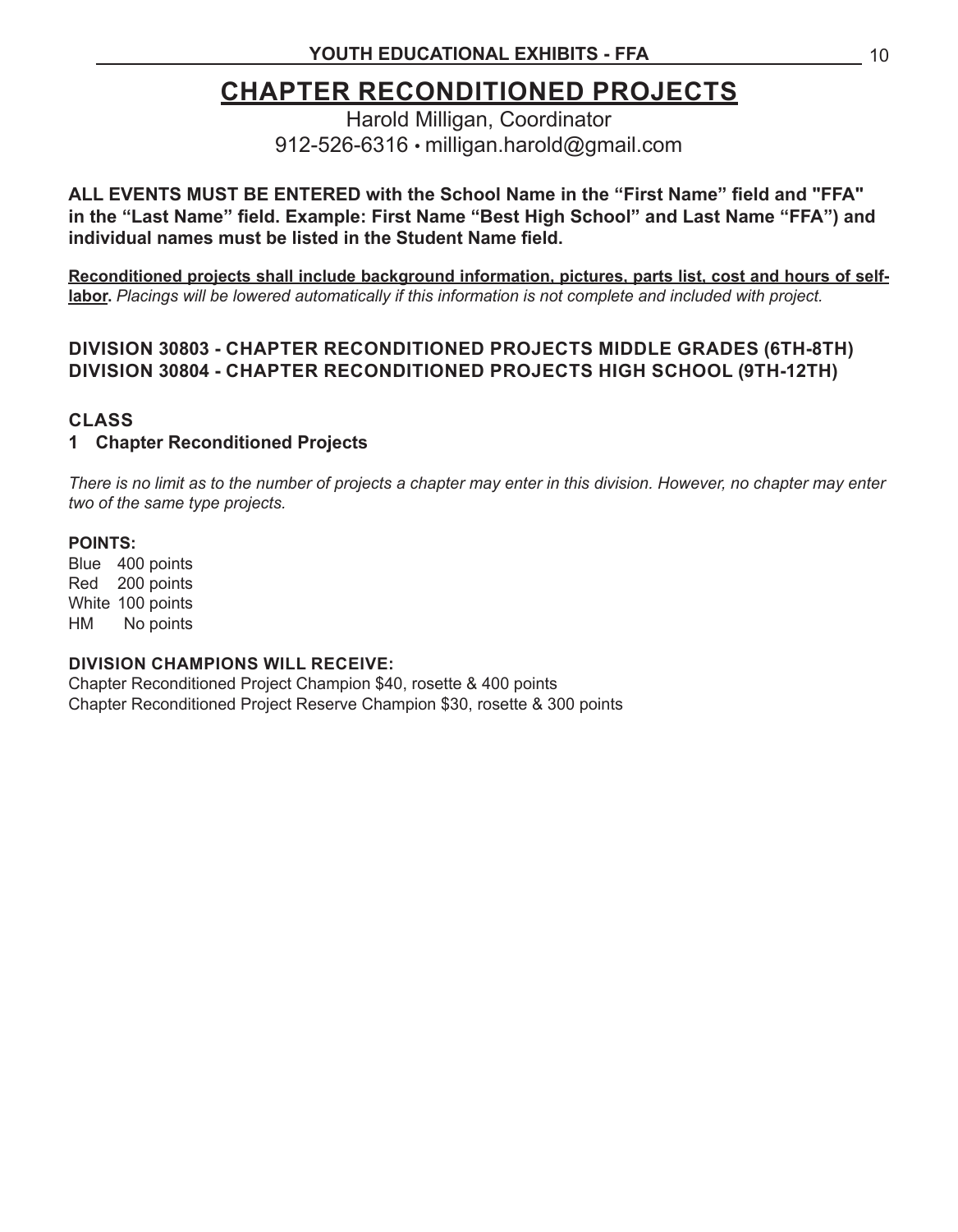### **CHAPTER RECONDITIONED PROJECTS**

Harold Milligan, Coordinator 912-526-6316 • milligan.harold@gmail.com

**ALL EVENTS MUST BE ENTERED with the School Name in the "First Name" field and "FFA" in the "Last Name" field. Example: First Name "Best High School" and Last Name "FFA") and individual names must be listed in the Student Name field.**

**Reconditioned projects shall include background information, pictures, parts list, cost and hours of selflabor.** *Placings will be lowered automatically if this information is not complete and included with project.*

#### **DIVISION 30803 - CHAPTER RECONDITIONED PROJECTS MIDDLE GRADES (6TH-8TH) DIVISION 30804 - CHAPTER RECONDITIONED PROJECTS HIGH SCHOOL (9TH-12TH)**

#### **CLASS**

#### **1 Chapter Reconditioned Projects**

*There is no limit as to the number of projects a chapter may enter in this division. However, no chapter may enter two of the same type projects.* 

#### **POINTS:**

Blue 400 points Red 200 points White 100 points HM No points

#### **DIVISION CHAMPIONS WILL RECEIVE:**

Chapter Reconditioned Project Champion \$40, rosette & 400 points Chapter Reconditioned Project Reserve Champion \$30, rosette & 300 points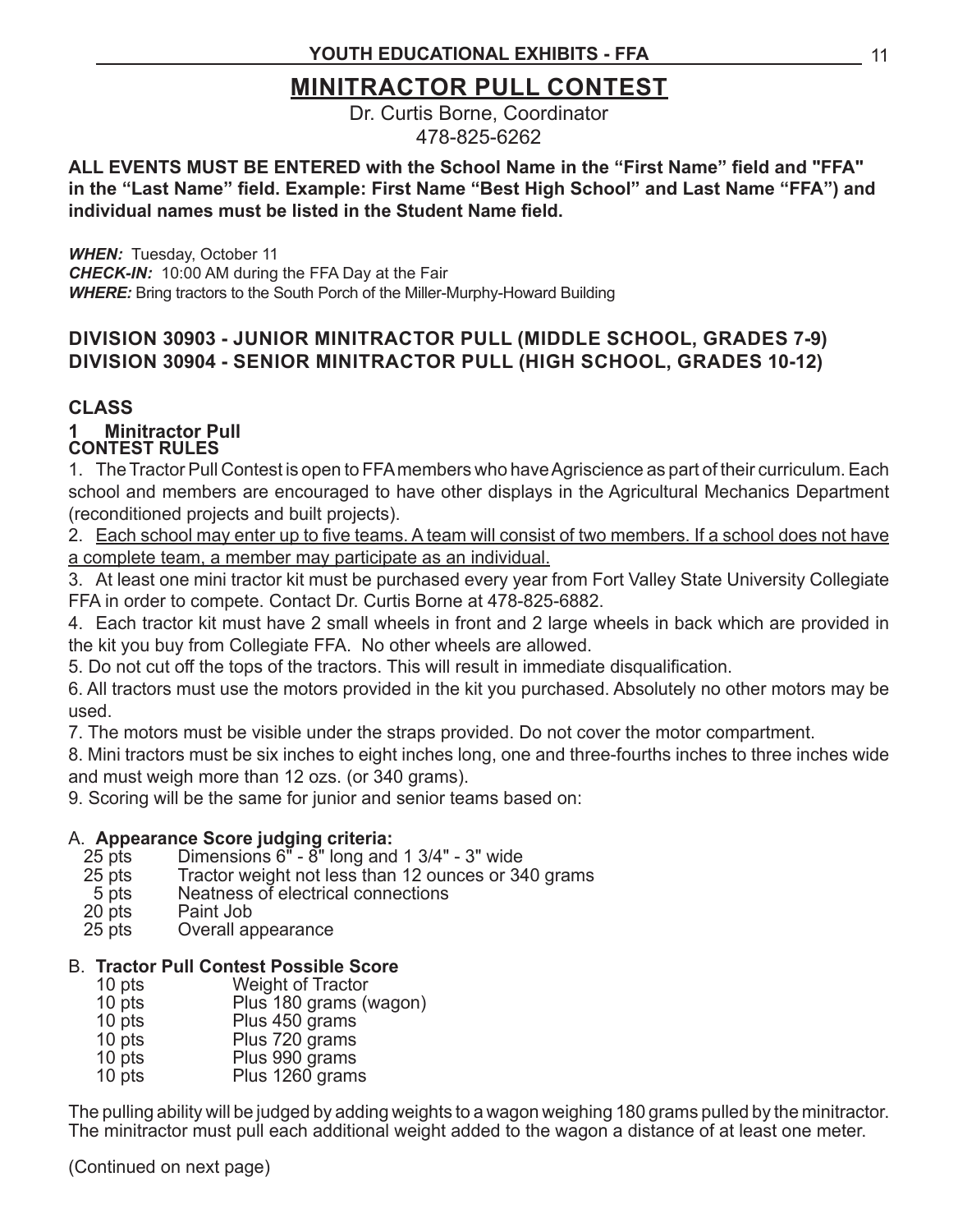### **MINITRACTOR PULL CONTEST**

Dr. Curtis Borne, Coordinator 478-825-6262

#### **ALL EVENTS MUST BE ENTERED with the School Name in the "First Name" field and "FFA" in the "Last Name" field. Example: First Name "Best High School" and Last Name "FFA") and individual names must be listed in the Student Name field.**

*WHEN:* Tuesday, October 11 *CHECK-IN:* 10:00 AM during the FFA Day at the Fair *WHERE:* Bring tractors to the South Porch of the Miller-Murphy-Howard Building

#### **DIVISION 30903 - JUNIOR MINITRACTOR PULL (MIDDLE SCHOOL, GRADES 7-9) DIVISION 30904 - SENIOR MINITRACTOR PULL (HIGH SCHOOL, GRADES 10-12)**

#### **CLASS**

#### **CONTEST RULES 1 Minitractor Pull**

1. The Tractor Pull Contest is open to FFA members who have Agriscience as part of their curriculum. Each school and members are encouraged to have other displays in the Agricultural Mechanics Department (reconditioned projects and built projects).

2. Each school may enter up to five teams. A team will consist of two members. If a school does not have a complete team, a member may participate as an individual.

3. At least one mini tractor kit must be purchased every year from Fort Valley State University Collegiate FFA in order to compete. Contact Dr. Curtis Borne at 478-825-6882.

4. Each tractor kit must have 2 small wheels in front and 2 large wheels in back which are provided in the kit you buy from Collegiate FFA. No other wheels are allowed.

5. Do not cut off the tops of the tractors. This will result in immediate disqualification.

6. All tractors must use the motors provided in the kit you purchased. Absolutely no other motors may be used.

7. The motors must be visible under the straps provided. Do not cover the motor compartment.

8. Mini tractors must be six inches to eight inches long, one and three-fourths inches to three inches wide and must weigh more than 12 ozs. (or 340 grams).

9. Scoring will be the same for junior and senior teams based on:

#### A. **Appearance Score judging criteria:**

- 25 pts Dimensions  $6^{\pi}$   $8^{\pi}$  long and 1 3/4" 3" wide<br>25 pts Tractor weight not less than 12 ounces or 34
- 25 pts Tractor weight not less than 12 ounces or 340 grams<br>5 pts Reatness of electrical connections
- 5 pts Neatness of electrical connections<br>20 pts Paint Job
- Paint Job
- 25 pts Overall appearance

#### B. **Tractor Pull Contest Possible Score**

- 10 pts Weight of Tractor<br>10 pts Plus 180 grams (
- Plus 180 grams (wagon)
- 10 pts Plus 450 grams<br>
10 pts Plus 720 grams
- Plus 720 grams
- 10 pts Plus 990 grams<br>10 pts Plus 1260 gram
- Plus 1260 grams

The pulling ability will be judged by adding weights to a wagon weighing 180 grams pulled by the minitractor. The minitractor must pull each additional weight added to the wagon a distance of at least one meter.

(Continued on next page)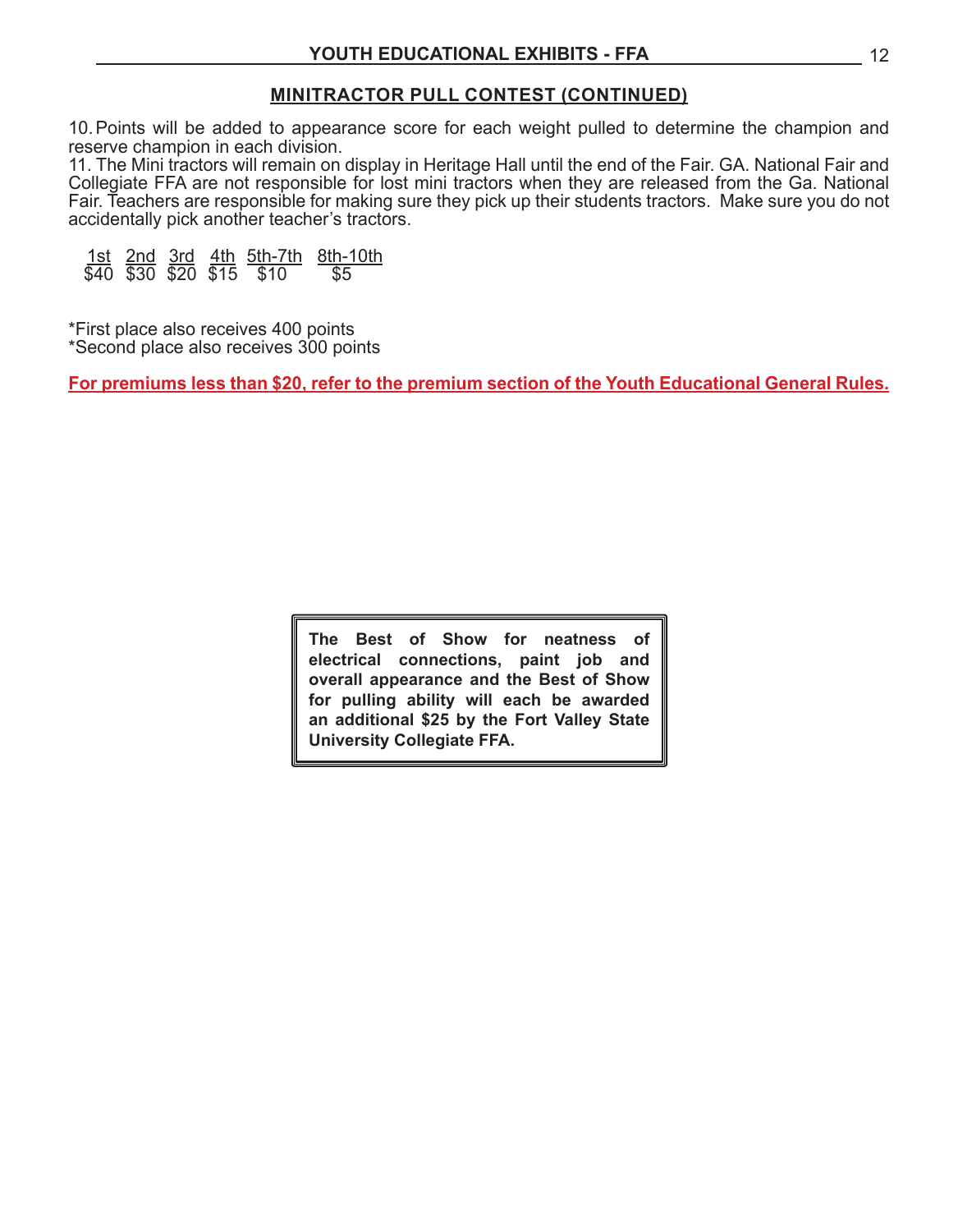#### **MINITRACTOR PULL CONTEST (CONTINUED)**

10. Points will be added to appearance score for each weight pulled to determine the champion and reserve champion in each division.

11. The Mini tractors will remain on display in Heritage Hall until the end of the Fair. GA. National Fair and Collegiate FFA are not responsible for lost mini tractors when they are released from the Ga. National Fair. Teachers are responsible for making sure they pick up their students tractors. Make sure you do not accidentally pick another teacher's tractors.

1st 2nd 3rd 4th 5th-7th 8th-10th  $$40$   $$30$   $$20$   $$15$   $$10$ 

\*First place also receives 400 points \*Second place also receives 300 points

**For premiums less than \$20, refer to the premium section of the Youth Educational General Rules.**

**The Best of Show for neatness of electrical connections, paint job and overall appearance and the Best of Show for pulling ability will each be awarded an additional \$25 by the Fort Valley State University Collegiate FFA.**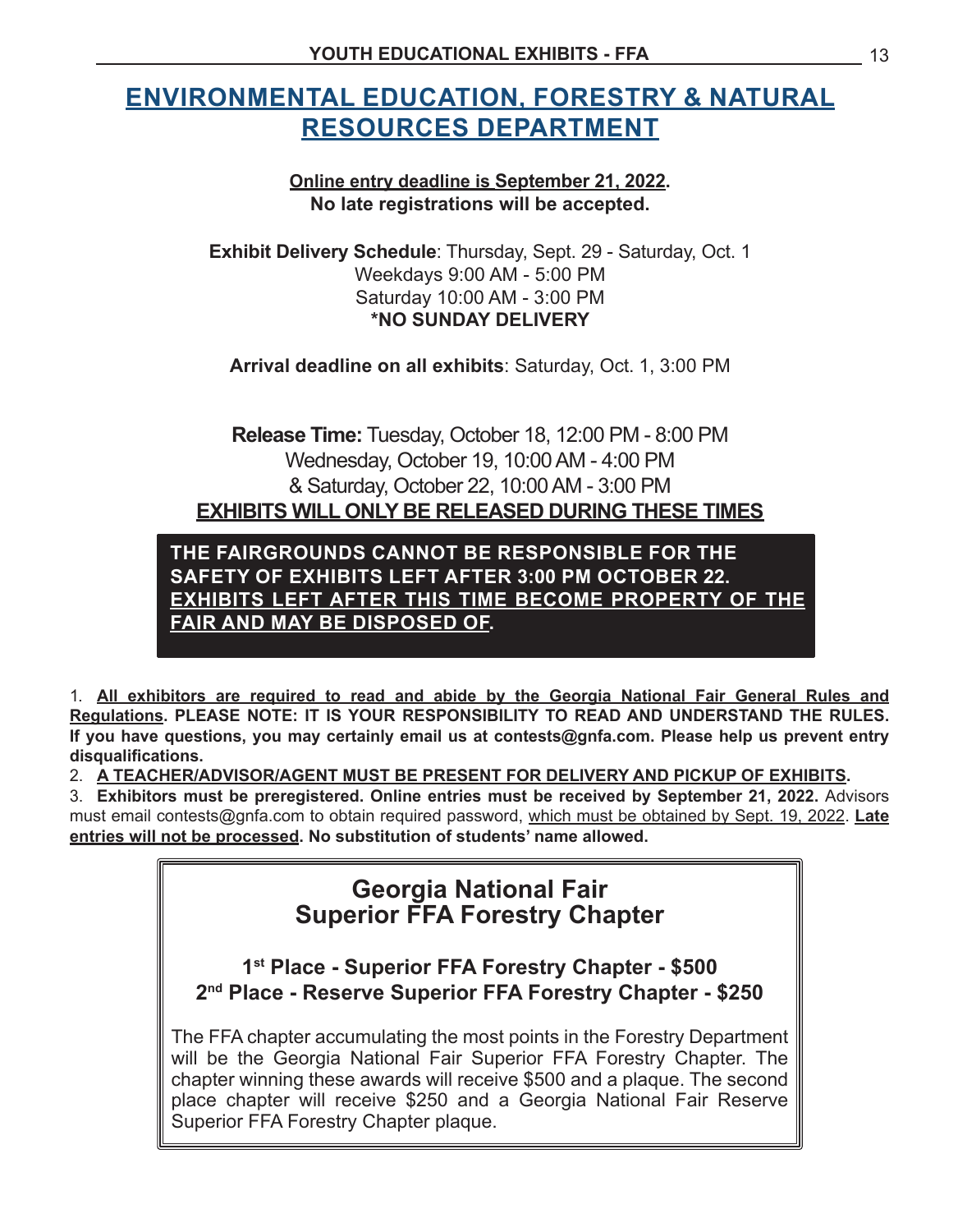### **ENVIRONMENTAL EDUCATION, FORESTRY & NATURAL RESOURCES DEPARTMENT**

#### **Online entry deadline is September 21, 2022. No late registrations will be accepted.**

**Exhibit Delivery Schedule**: Thursday, Sept. 29 - Saturday, Oct. 1 Weekdays 9:00 AM - 5:00 PM Saturday 10:00 AM - 3:00 PM **\*NO SUNDAY DELIVERY**

**Arrival deadline on all exhibits**: Saturday, Oct. 1, 3:00 PM

**Release Time:** Tuesday, October 18, 12:00 PM - 8:00 PM Wednesday, October 19, 10:00AM - 4:00 PM & Saturday, October 22, 10:00AM - 3:00 PM **EXHIBITS WILL ONLY BE RELEASED DURING THESE TIMES**

**THE FAIRGROUNDS CANNOT BE RESPONSIBLE FOR THE SAFETY OF EXHIBITS LEFT AFTER 3:00 PM OCTOBER 22. EXHIBITS LEFT AFTER THIS TIME BECOME PROPERTY OF THE FAIR AND MAY BE DISPOSED OF.**

1. All exhibitors are required to read and abide by the Georgia National Fair General Rules and **Regulations. PLEASE NOTE: IT IS YOUR RESPONSIBILITY TO READ AND UNDERSTAND THE RULES. If you have questions, you may certainly email us at contests@gnfa.com. Please help us prevent entry disqualifications.**

2. A TEACHER/ADVISOR/AGENT MUST BE PRESENT FOR DELIVERY AND PICKUP OF EXHIBITS.

3. **Exhibitors must be preregistered. Online entries must be received by September 21, 2022.** Advisors must email contests@gnfa.com to obtain required password, which must be obtained by Sept. 19, 2022. **Late entries will not be processed. No substitution of students' name allowed.**

### **Georgia National Fair Superior FFA Forestry Chapter**

**1st Place - Superior FFA Forestry Chapter - \$500 2nd Place - Reserve Superior FFA Forestry Chapter - \$250**

The FFA chapter accumulating the most points in the Forestry Department will be the Georgia National Fair Superior FFA Forestry Chapter. The chapter winning these awards will receive \$500 and a plaque. The second place chapter will receive \$250 and a Georgia National Fair Reserve Superior FFA Forestry Chapter plaque.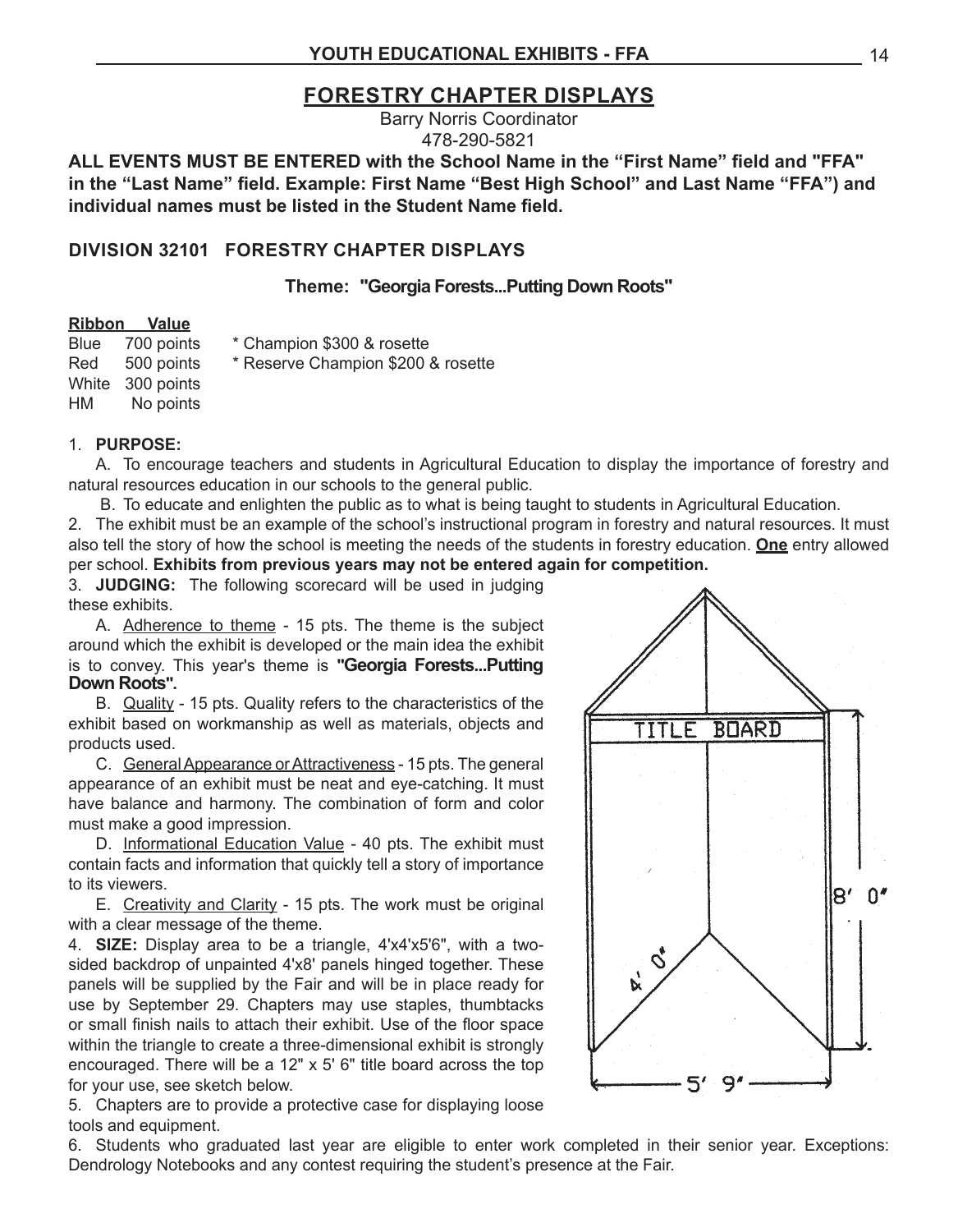#### **FORESTRY CHAPTER DISPLAYS**

Barry Norris Coordinator 478-290-5821

**ALL EVENTS MUST BE ENTERED with the School Name in the "First Name" field and "FFA" in the "Last Name" field. Example: First Name "Best High School" and Last Name "FFA") and individual names must be listed in the Student Name field.**

#### **DIVISION 32101 FORESTRY CHAPTER DISPLAYS**

**Theme: "Georgia Forests...Putting Down Roots"**

#### **Ribbon Value**

Blue 700 points \* Champion \$300 & rosette

White 300 points HM No points

Red 500 points \* Reserve Champion \$200 & rosette

#### 1. **PURPOSE:**

A. To encourage teachers and students in Agricultural Education to display the importance of forestry and natural resources education in our schools to the general public.

B. To educate and enlighten the public as to what is being taught to students in Agricultural Education.

2. The exhibit must be an example of the school's instructional program in forestry and natural resources. It must also tell the story of how the school is meeting the needs of the students in forestry education. **One** entry allowed per school. **Exhibits from previous years may not be entered again for competition.**

3. **JUDGING:** The following scorecard will be used in judging these exhibits.

A. Adherence to theme - 15 pts. The theme is the subject around which the exhibit is developed or the main idea the exhibit is to convey. This year's theme is **"Georgia Forests...Putting Down Roots".**

B. Quality - 15 pts. Quality refers to the characteristics of the exhibit based on workmanship as well as materials, objects and products used.

C. General Appearance or Attractiveness - 15 pts. The general appearance of an exhibit must be neat and eye-catching. It must have balance and harmony. The combination of form and color must make a good impression.

D. Informational Education Value - 40 pts. The exhibit must contain facts and information that quickly tell a story of importance to its viewers.

E. Creativity and Clarity - 15 pts. The work must be original with a clear message of the theme.

4. **SIZE:** Display area to be a triangle, 4'x4'x5'6", with a twosided backdrop of unpainted 4'x8' panels hinged together. These panels will be supplied by the Fair and will be in place ready for use by September 29. Chapters may use staples, thumbtacks or small finish nails to attach their exhibit. Use of the floor space within the triangle to create a three-dimensional exhibit is strongly encouraged. There will be a 12" x 5' 6" title board across the top for your use, see sketch below.

5. Chapters are to provide a protective case for displaying loose tools and equipment.

6. Students who graduated last year are eligible to enter work completed in their senior year. Exceptions: Dendrology Notebooks and any contest requiring the student's presence at the Fair.

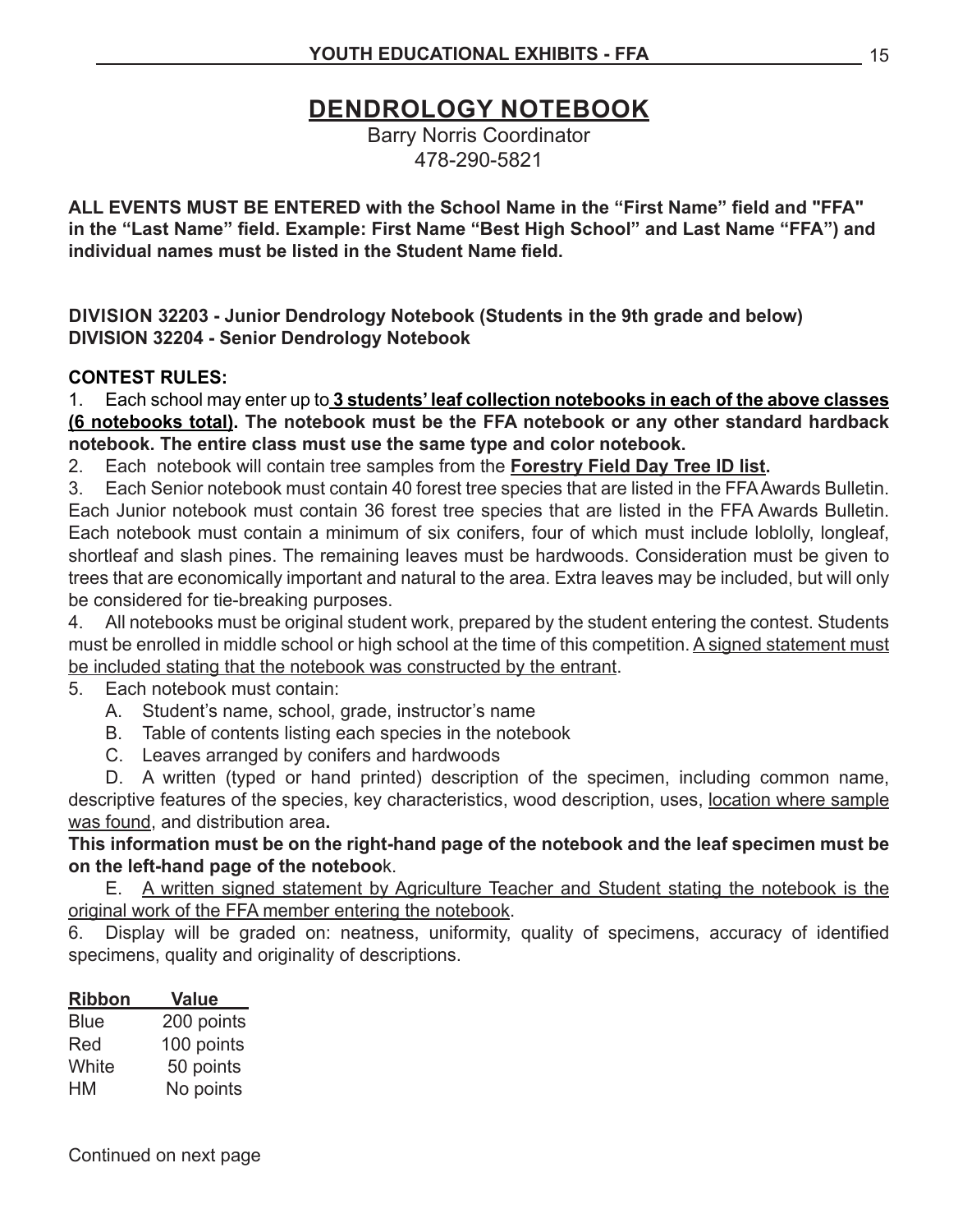### **DENDROLOGY NOTEBOOK**

Barry Norris Coordinator 478-290-5821

**ALL EVENTS MUST BE ENTERED with the School Name in the "First Name" field and "FFA" in the "Last Name" field. Example: First Name "Best High School" and Last Name "FFA") and individual names must be listed in the Student Name field.**

**DIVISION 32203 - Junior Dendrology Notebook (Students in the 9th grade and below) DIVISION 32204 - Senior Dendrology Notebook**

#### **CONTEST RULES:**

1. Each school may enter up to 3 students' leaf collection notebooks in each of the above classes **(6 notebooks total). The notebook must be the FFA notebook or any other standard hardback notebook. The entire class must use the same type and color notebook.**

2. Each notebook will contain tree samples from the **Forestry Field Day Tree ID list.**

3. Each Senior notebook must contain 40 forest tree species that are listed in the FFA Awards Bulletin. Each Junior notebook must contain 36 forest tree species that are listed in the FFA Awards Bulletin. Each notebook must contain a minimum of six conifers, four of which must include loblolly, longleaf, shortleaf and slash pines. The remaining leaves must be hardwoods. Consideration must be given to trees that are economically important and natural to the area. Extra leaves may be included, but will only be considered for tie-breaking purposes.

4. All notebooks must be original student work, prepared by the student entering the contest. Students must be enrolled in middle school or high school at the time of this competition. A signed statement must be included stating that the notebook was constructed by the entrant.

5. Each notebook must contain:

A. Student's name, school, grade, instructor's name

- B. Table of contents listing each species in the notebook
- C. Leaves arranged by conifers and hardwoods

D. A written (typed or hand printed) description of the specimen, including common name, descriptive features of the species, key characteristics, wood description, uses, location where sample was found, and distribution area**.**

**This information must be on the right-hand page of the notebook and the leaf specimen must be on the left-hand page of the noteboo**k.

E. A written signed statement by Agriculture Teacher and Student stating the notebook is the original work of the FFA member entering the notebook.

6. Display will be graded on: neatness, uniformity, quality of specimens, accuracy of identified specimens, quality and originality of descriptions.

| <b>Value</b> |
|--------------|
| 200 points   |
| 100 points   |
| 50 points    |
| No points    |
|              |

Continued on next page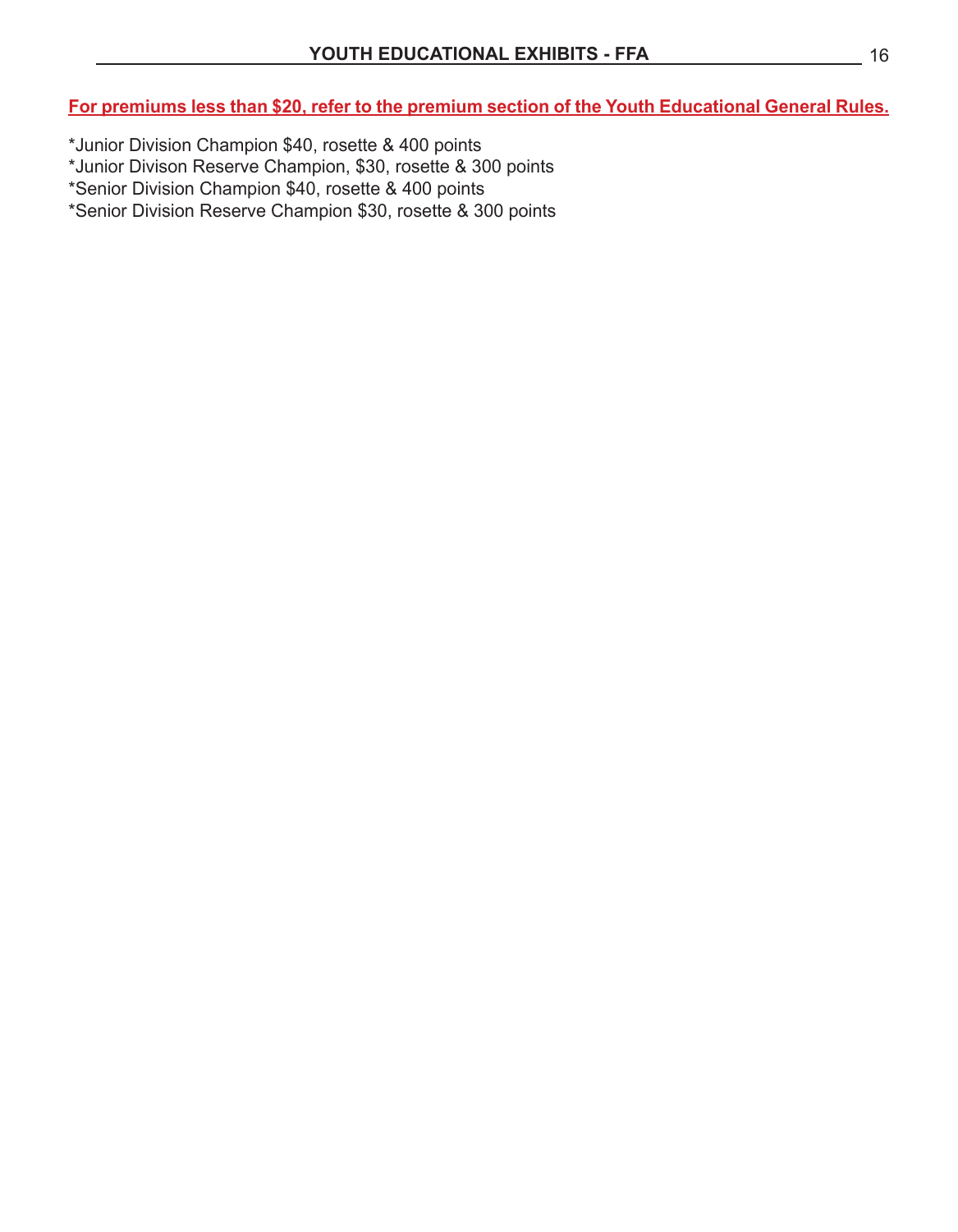**For premiums less than \$20, refer to the premium section of the Youth Educational General Rules.**

- \*Junior Division Champion \$40, rosette & 400 points
- \*Junior Divison Reserve Champion, \$30, rosette & 300 points
- \*Senior Division Champion \$40, rosette & 400 points
- \*Senior Division Reserve Champion \$30, rosette & 300 points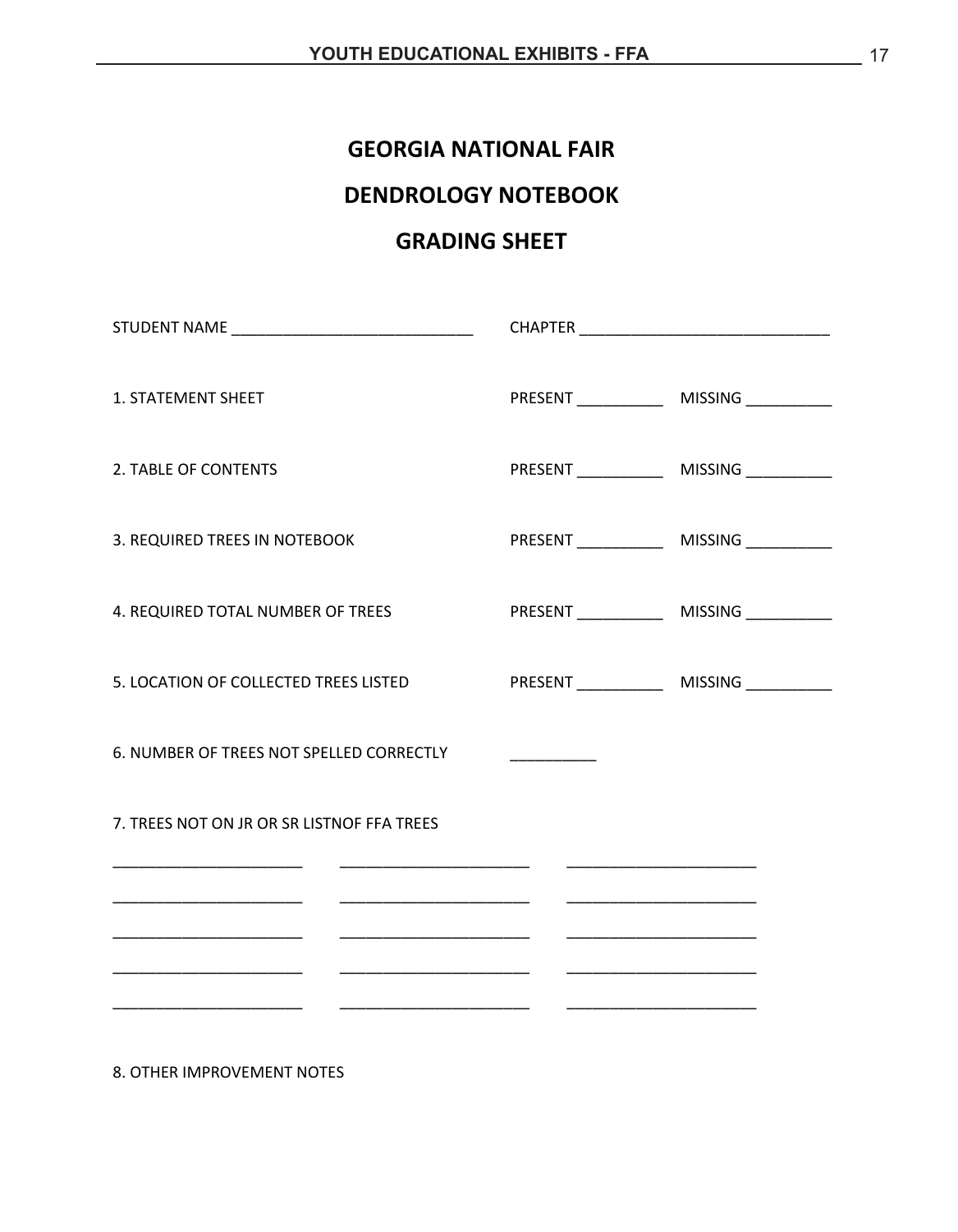#### **GEORGIA NATIONAL FAIR**

### **DENDROLOGY NOTEBOOK**

#### **GRADING SHEET**

| STUDENT NAME ___________________________________ |                                 |  |
|--------------------------------------------------|---------------------------------|--|
| 1. STATEMENT SHEET                               |                                 |  |
| 2. TABLE OF CONTENTS                             |                                 |  |
| 3. REQUIRED TREES IN NOTEBOOK                    |                                 |  |
| 4. REQUIRED TOTAL NUMBER OF TREES                |                                 |  |
| 5. LOCATION OF COLLECTED TREES LISTED            |                                 |  |
| 6. NUMBER OF TREES NOT SPELLED CORRECTLY         | <u> De Santa Carlos de Sant</u> |  |
| 7. TREES NOT ON JR OR SR LISTNOF FFA TREES       |                                 |  |
|                                                  |                                 |  |
|                                                  |                                 |  |
|                                                  |                                 |  |

8. OTHER IMPROVEMENT NOTES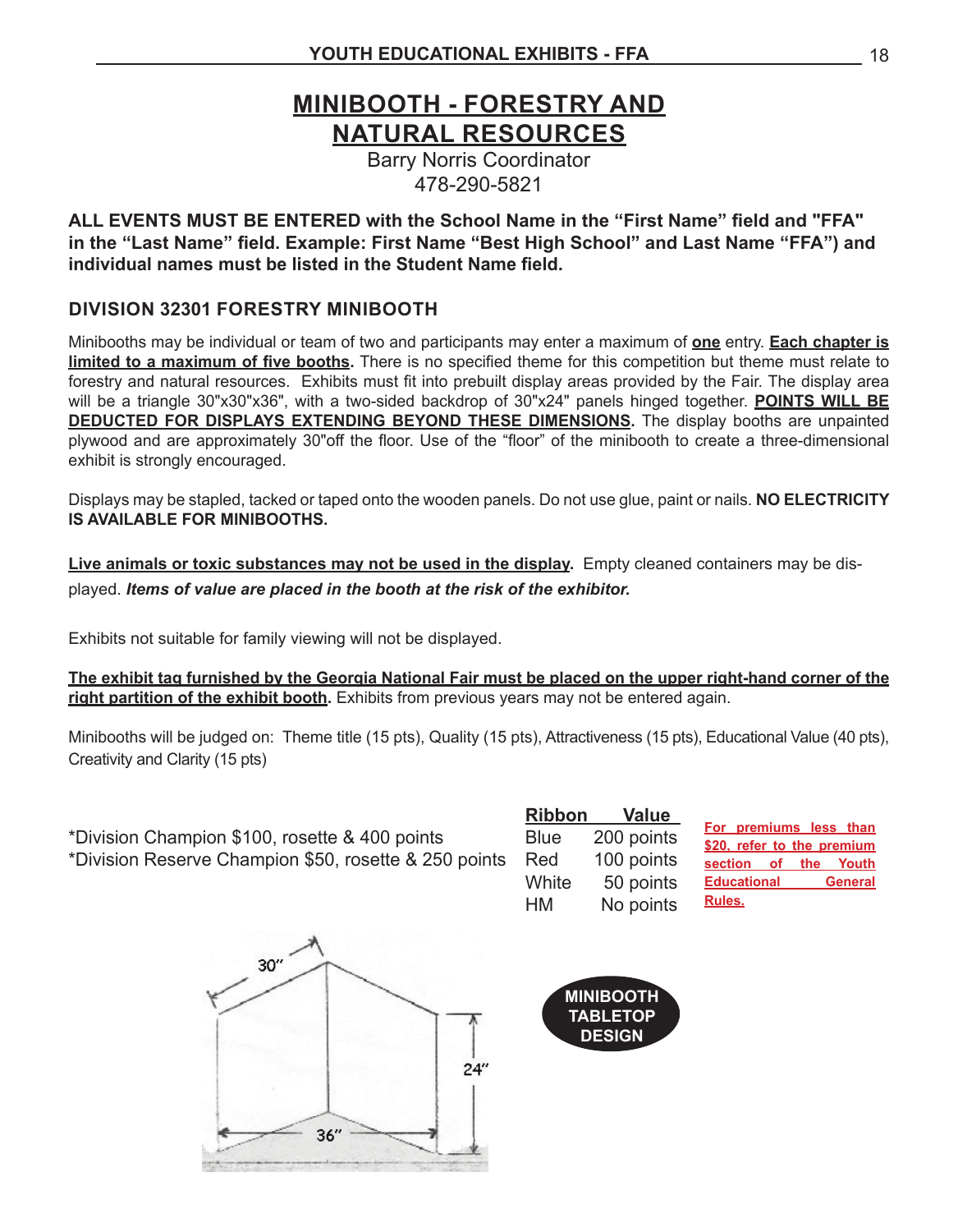### **MINIBOOTH - FORESTRY AND NATURAL RESOURCES**

Barry Norris Coordinator 478-290-5821

**ALL EVENTS MUST BE ENTERED with the School Name in the "First Name" field and "FFA" in the "Last Name" field. Example: First Name "Best High School" and Last Name "FFA") and individual names must be listed in the Student Name field.**

#### **DIVISION 32301 FORESTRY MINIBOOTH**

Minibooths may be individual or team of two and participants may enter a maximum of **one** entry. **Each chapter is limited to a maximum of five booths.** There is no specified theme for this competition but theme must relate to forestry and natural resources. Exhibits must fit into prebuilt display areas provided by the Fair. The display area will be a triangle 30"x30"x36", with a two-sided backdrop of 30"x24" panels hinged together. **POINTS WILL BE DEDUCTED FOR DISPLAYS EXTENDING BEYOND THESE DIMENSIONS.** The display booths are unpainted plywood and are approximately 30"off the floor. Use of the "floor" of the minibooth to create a three-dimensional exhibit is strongly encouraged.

Displays may be stapled, tacked or taped onto the wooden panels. Do not use glue, paint or nails. **NO ELECTRICITY IS AVAILABLE FOR MINIBOOTHS.**

**Live animals or toxic substances may not be used in the display.** Empty cleaned containers may be displayed. *Items of value are placed in the booth at the risk of the exhibitor.*

Exhibits not suitable for family viewing will not be displayed.

**The exhibit tag furnished by the Georgia National Fair must be placed on the upper right-hand corner of the**  right partition of the exhibit booth</u>. Exhibits from previous years may not be entered again.

Minibooths will be judged on: Theme title (15 pts), Quality (15 pts), Attractiveness (15 pts), Educational Value (40 pts), Creativity and Clarity (15 pts)

\*Division Champion \$100, rosette & 400 points Blue 200 points \*Division Reserve Champion \$50, rosette & 250 points Red 100 points

 **Ribbon Value**  White 50 points HM No points

**For premiums less than \$20, refer to the premium section of the Youth Educational General Rules.**



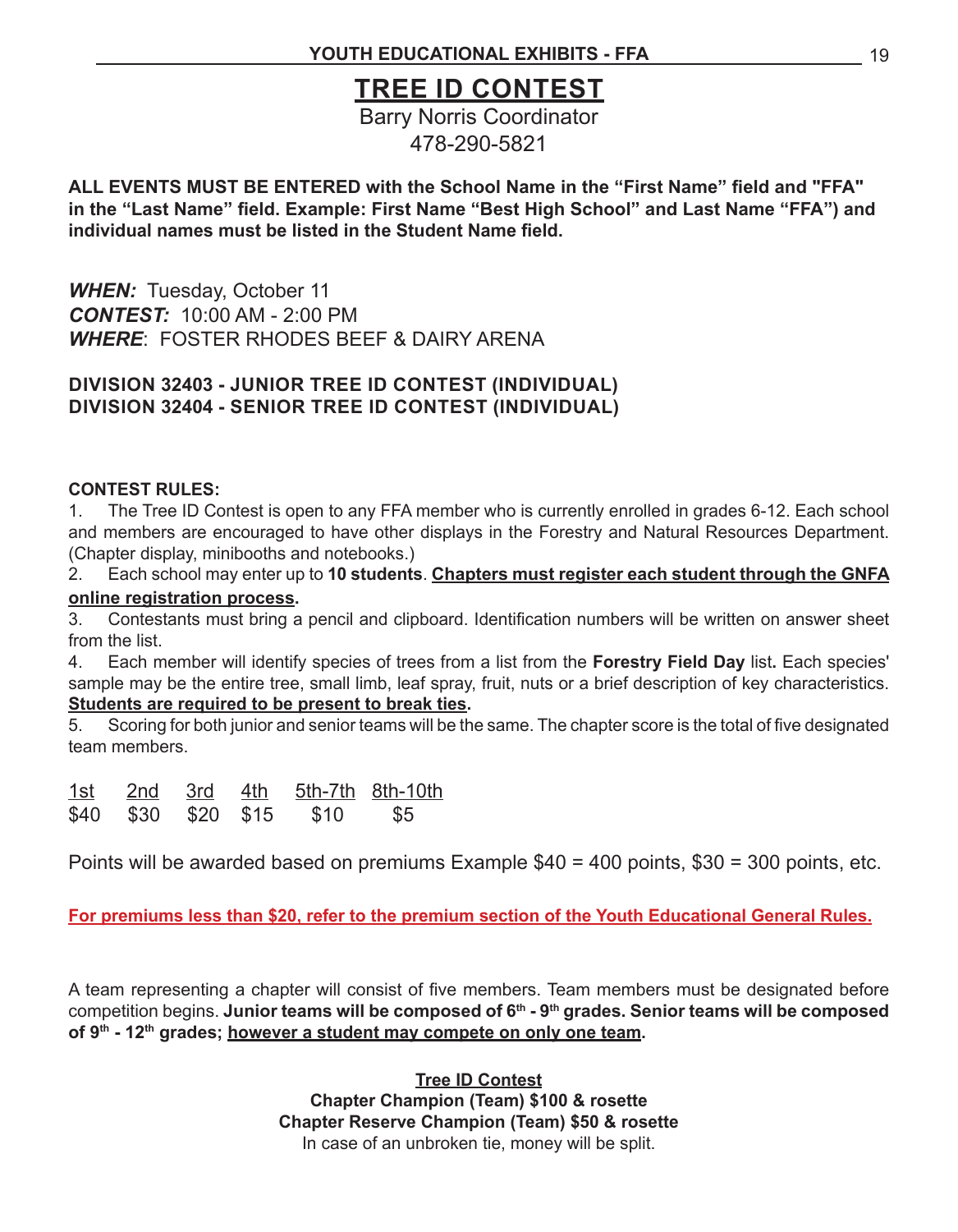### **TREE ID CONTEST**

Barry Norris Coordinator 478-290-5821

**ALL EVENTS MUST BE ENTERED with the School Name in the "First Name" field and "FFA" in the "Last Name" field. Example: First Name "Best High School" and Last Name "FFA") and individual names must be listed in the Student Name field.**

*WHEN:* Tuesday, October 11 *CONTEST:* 10:00 AM - 2:00 PM *WHERE*: FOSTER RHODES BEEF & DAIRY ARENA

#### **DIVISION 32403 - JUNIOR TREE ID CONTEST (INDIVIDUAL) DIVISION 32404 - SENIOR TREE ID CONTEST (INDIVIDUAL)**

#### **CONTEST RULES:**

1. The Tree ID Contest is open to any FFA member who is currently enrolled in grades 6-12. Each school and members are encouraged to have other displays in the Forestry and Natural Resources Department. (Chapter display, minibooths and notebooks.)

2. Each school may enter up to **10 students**. **Chapters must register each student through the GNFA online registration process.**

3. Contestants must bring a pencil and clipboard. Identification numbers will be written on answer sheet from the list.

4. Each member will identify species of trees from a list from the **Forestry Field Day** list**.** Each species' sample may be the entire tree, small limb, leaf spray, fruit, nuts or a brief description of key characteristics. **Students are required to be present to break ties.**

5. Scoring for both junior and senior teams will be the same. The chapter score is the total of five designated team members.

| 1st | 2nd 3rd             | 4th |      | 5th-7th 8th-10th |
|-----|---------------------|-----|------|------------------|
|     | \$40 \$30 \$20 \$15 |     | \$10 | <b>\$5</b>       |

Points will be awarded based on premiums Example \$40 = 400 points, \$30 = 300 points, etc.

**For premiums less than \$20, refer to the premium section of the Youth Educational General Rules.**

A team representing a chapter will consist of five members. Team members must be designated before competition begins. **Junior teams will be composed of 6<sup>th</sup> - 9<sup>th</sup> grades. Senior teams will be composed of 9th - 12th grades; however a student may compete on only one team.**

> **Tree ID Contest Chapter Champion (Team) \$100 & rosette Chapter Reserve Champion (Team) \$50 & rosette** In case of an unbroken tie, money will be split.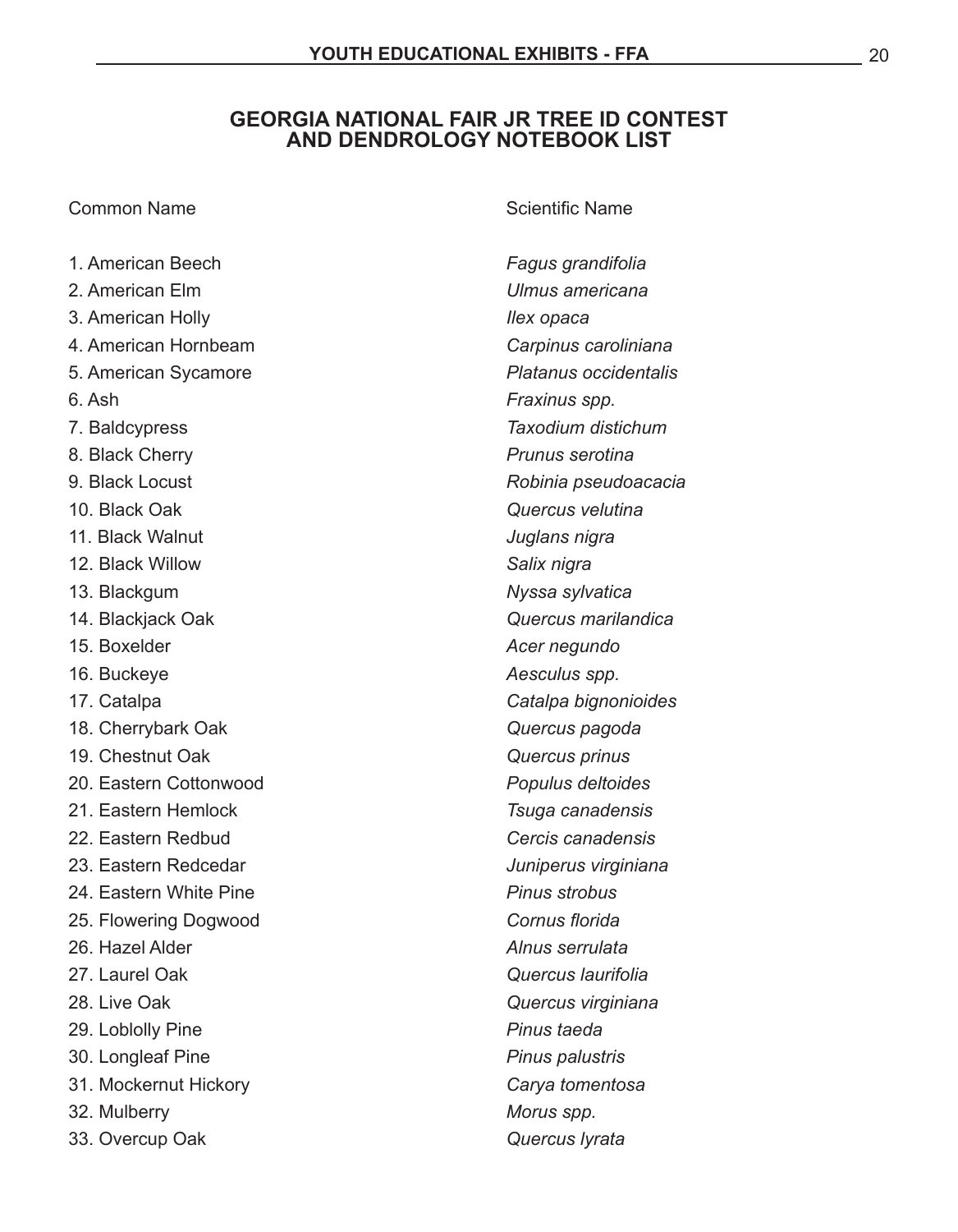#### **GEORGIA NATIONAL FAIR JR TREE ID CONTEST AND DENDROLOGY NOTEBOOK LIST**

#### **Common Name Common Name Common Name**

| 1. American Beech      | Fagus grandifolia     |
|------------------------|-----------------------|
| 2. American Elm        | Ulmus americana       |
| 3. American Holly      | llex opaca            |
| 4. American Hornbeam   | Carpinus caroliniana  |
| 5. American Sycamore   | Platanus occidentalis |
| 6. Ash                 | Fraxinus spp.         |
| 7. Baldcypress         | Taxodium distichum    |
| 8. Black Cherry        | Prunus serotina       |
| 9. Black Locust        | Robinia pseudoacacia  |
| 10. Black Oak          | Quercus velutina      |
| 11. Black Walnut       | Juglans nigra         |
| 12. Black Willow       | Salix nigra           |
| 13. Blackgum           | Nyssa sylvatica       |
| 14. Blackjack Oak      | Quercus marilandica   |
| 15. Boxelder           | Acer negundo          |
| 16. Buckeye            | Aesculus spp.         |
| 17. Catalpa            | Catalpa bignonioides  |
| 18. Cherrybark Oak     | Quercus pagoda        |
| 19. Chestnut Oak       | Quercus prinus        |
| 20. Eastern Cottonwood | Populus deltoides     |
| 21. Eastern Hemlock    | Tsuga canadensis      |
| 22. Eastern Redbud     | Cercis canadensis     |
| 23. Eastern Redcedar   | Juniperus virginiana  |
| 24. Eastern White Pine | <b>Pinus strobus</b>  |
| 25. Flowering Dogwood  | Cornus florida        |
| 26. Hazel Alder        | Alnus serrulata       |
| 27. Laurel Oak         | Quercus laurifolia    |
| 28. Live Oak           | Quercus virginiana    |
| 29. Loblolly Pine      | Pinus taeda           |
| 30. Longleaf Pine      | Pinus palustris       |
| 31. Mockernut Hickory  | Carya tomentosa       |
| 32. Mulberry           | Morus spp.            |
| 33. Overcup Oak        | Quercus lyrata        |
|                        |                       |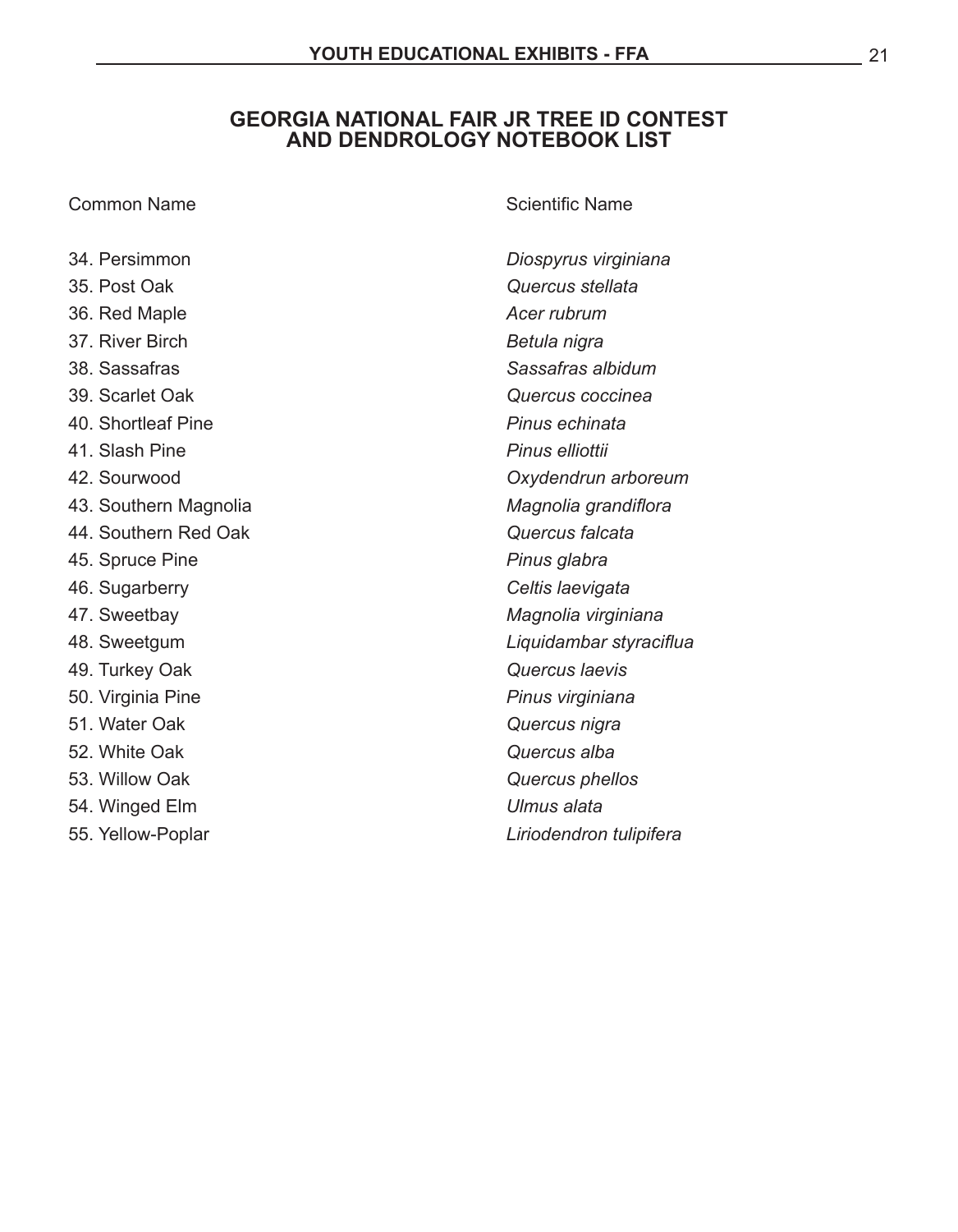#### **GEORGIA NATIONAL FAIR JR TREE ID CONTEST AND DENDROLOGY NOTEBOOK LIST**

| 34. Persimmon         | Diospyrus virginiana    |
|-----------------------|-------------------------|
| 35. Post Oak          | Quercus stellata        |
| 36. Red Maple         | Acer rubrum             |
| 37. River Birch       | Betula nigra            |
| 38. Sassafras         | Sassafras albidum       |
| 39. Scarlet Oak       | Quercus coccinea        |
| 40. Shortleaf Pine    | Pinus echinata          |
| 41. Slash Pine        | Pinus elliottii         |
| 42. Sourwood          | Oxydendrun arboreum     |
| 43. Southern Magnolia | Magnolia grandiflora    |
| 44. Southern Red Oak  | Quercus falcata         |
| 45. Spruce Pine       | Pinus glabra            |
| 46. Sugarberry        | Celtis laevigata        |
| 47. Sweetbay          | Magnolia virginiana     |
| 48. Sweetgum          | Liquidambar styraciflua |
| 49. Turkey Oak        | Quercus Iaevis          |
| 50. Virginia Pine     | Pinus virginiana        |
| 51. Water Oak         | Quercus nigra           |
| 52. White Oak         | Quercus alba            |
| 53. Willow Oak        | Quercus phellos         |

- 54. Winged Elm *Ulmus alata*
- 

**Common Name Common Name** *Common Name Common Name* 

55. Yellow-Poplar *COVERSITY COVERSITY COVERSITY COVERSITY COVERSITY COVERSITY COVERSITY COVERSITY COVERSITY COVERSITY COVERSITY COVERSITY COVERSITY COVERSITY COVERSITY COVERSITY COVERSITY COVERSITY COVERSITY COVERSITY CO*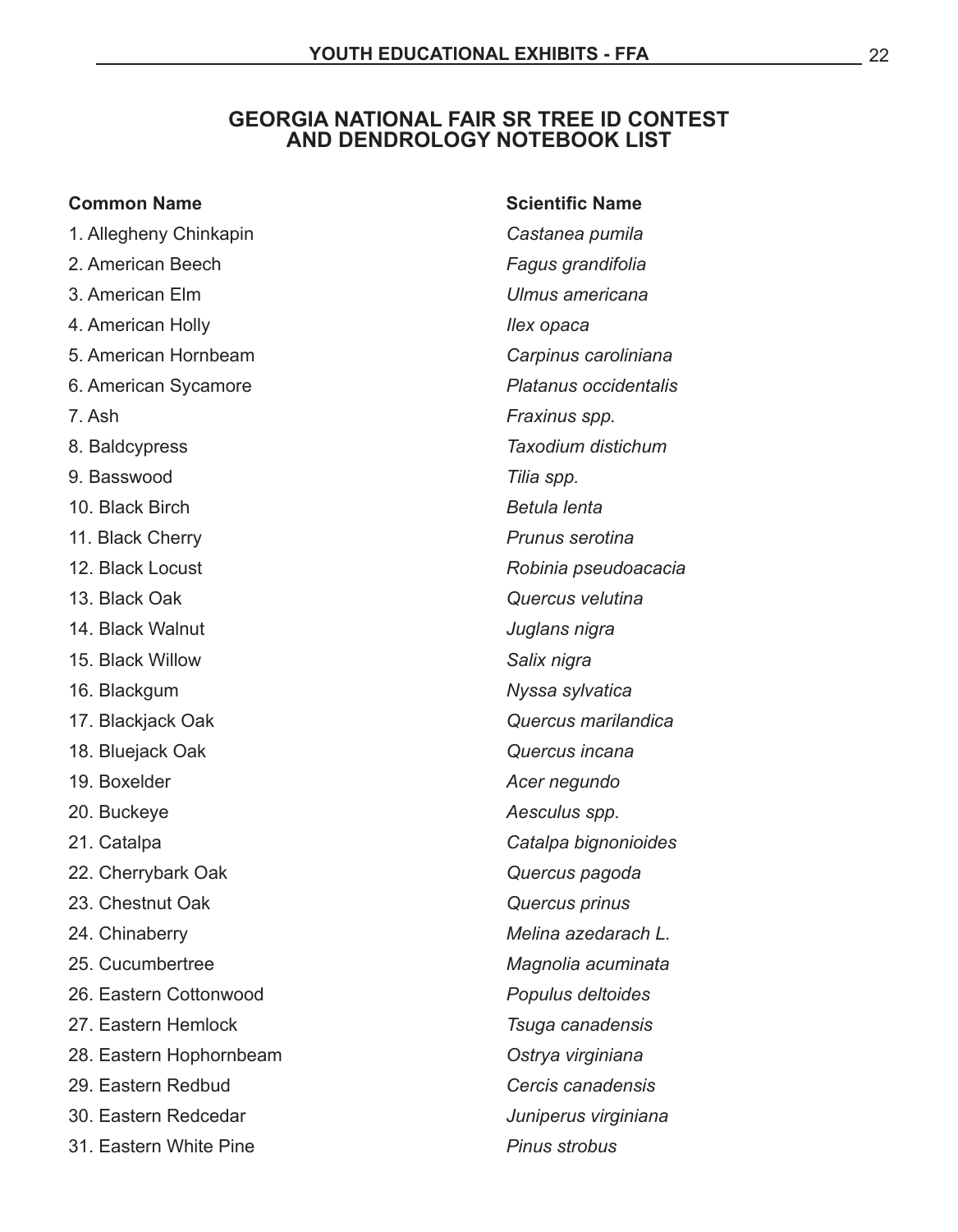#### **GEORGIA NATIONAL FAIR SR TREE ID CONTEST AND DENDROLOGY NOTEBOOK LIST**

| <b>Common Name</b>      | <b>Scientific Name</b> |
|-------------------------|------------------------|
| 1. Allegheny Chinkapin  | Castanea pumila        |
| 2. American Beech       | Fagus grandifolia      |
| 3. American Elm         | Ulmus americana        |
| 4. American Holly       | llex opaca             |
| 5. American Hornbeam    | Carpinus caroliniana   |
| 6. American Sycamore    | Platanus occidentalis  |
| 7. Ash                  | Fraxinus spp.          |
| 8. Baldcypress          | Taxodium distichum     |
| 9. Basswood             | Tilia spp.             |
| 10. Black Birch         | Betula lenta           |
| 11. Black Cherry        | Prunus serotina        |
| 12. Black Locust        | Robinia pseudoacacia   |
| 13. Black Oak           | Quercus velutina       |
| 14. Black Walnut        | Juglans nigra          |
| 15. Black Willow        | Salix nigra            |
| 16. Blackgum            | Nyssa sylvatica        |
| 17. Blackjack Oak       | Quercus marilandica    |
| 18. Bluejack Oak        | Quercus incana         |
| 19. Boxelder            | Acer negundo           |
| 20. Buckeye             | Aesculus spp.          |
| 21. Catalpa             | Catalpa bignonioides   |
| 22. Cherrybark Oak      | Quercus pagoda         |
| 23. Chestnut Oak        | Quercus prinus         |
| 24. Chinaberry          | Melina azedarach L.    |
| 25. Cucumbertree        | Magnolia acuminata     |
| 26. Eastern Cottonwood  | Populus deltoides      |
| 27. Eastern Hemlock     | Tsuga canadensis       |
| 28. Eastern Hophornbeam | Ostrya virginiana      |
| 29. Eastern Redbud      | Cercis canadensis      |
| 30. Eastern Redcedar    | Juniperus virginiana   |
| 31. Eastern White Pine  | <b>Pinus strobus</b>   |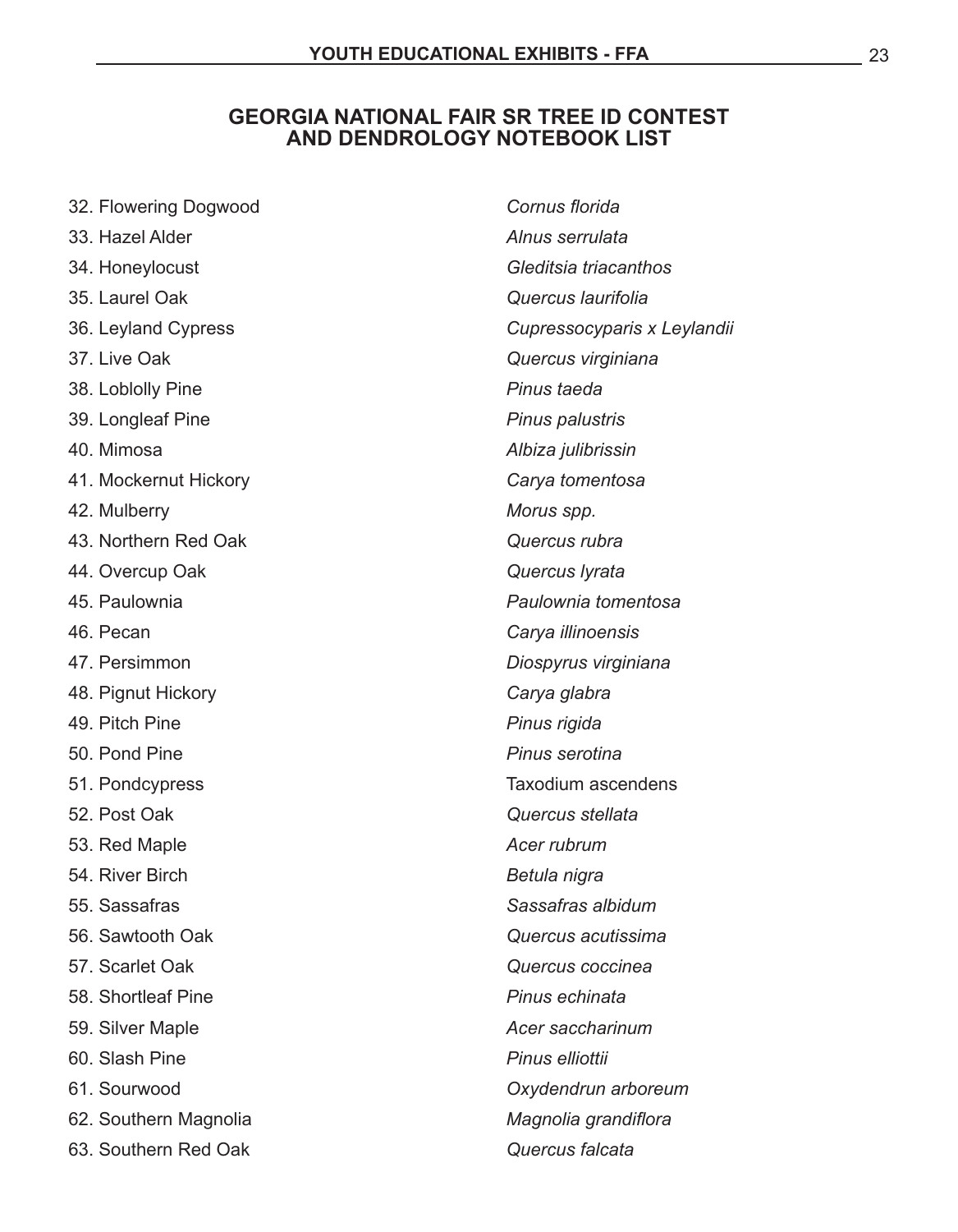#### **GEORGIA NATIONAL FAIR SR TREE ID CONTEST AND DENDROLOGY NOTEBOOK LIST**

| 32. Flowering Dogwood | Cornus florida              |
|-----------------------|-----------------------------|
| 33. Hazel Alder       | Alnus serrulata             |
| 34. Honeylocust       | Gleditsia triacanthos       |
| 35. Laurel Oak        | Quercus laurifolia          |
| 36. Leyland Cypress   | Cupressocyparis x Leylandii |
| 37. Live Oak          | Quercus virginiana          |
| 38. Loblolly Pine     | Pinus taeda                 |
| 39. Longleaf Pine     | Pinus palustris             |
| 40. Mimosa            | Albiza julibrissin          |
| 41. Mockernut Hickory | Carya tomentosa             |
| 42. Mulberry          | Morus spp.                  |
| 43. Northern Red Oak  | Quercus rubra               |
| 44. Overcup Oak       | Quercus lyrata              |
| 45. Paulownia         | Paulownia tomentosa         |
| 46. Pecan             | Carya illinoensis           |
| 47. Persimmon         | Diospyrus virginiana        |
| 48. Pignut Hickory    | Carya glabra                |
| 49. Pitch Pine        | Pinus rigida                |
| 50. Pond Pine         | Pinus serotina              |
| 51. Pondcypress       | <b>Taxodium ascendens</b>   |
| 52. Post Oak          | Quercus stellata            |
| 53. Red Maple         | Acer rubrum                 |
| 54. River Birch       | Betula nigra                |
| 55. Sassafras         | Sassafras albidum           |
| 56. Sawtooth Oak      | Quercus acutissima          |
| 57. Scarlet Oak       | Quercus coccinea            |
| 58. Shortleaf Pine    | Pinus echinata              |
| 59. Silver Maple      | Acer saccharinum            |
| 60. Slash Pine        | Pinus elliottii             |
| 61. Sourwood          | Oxydendrun arboreum         |
| 62. Southern Magnolia | Magnolia grandiflora        |
| 63. Southern Red Oak  | Quercus falcata             |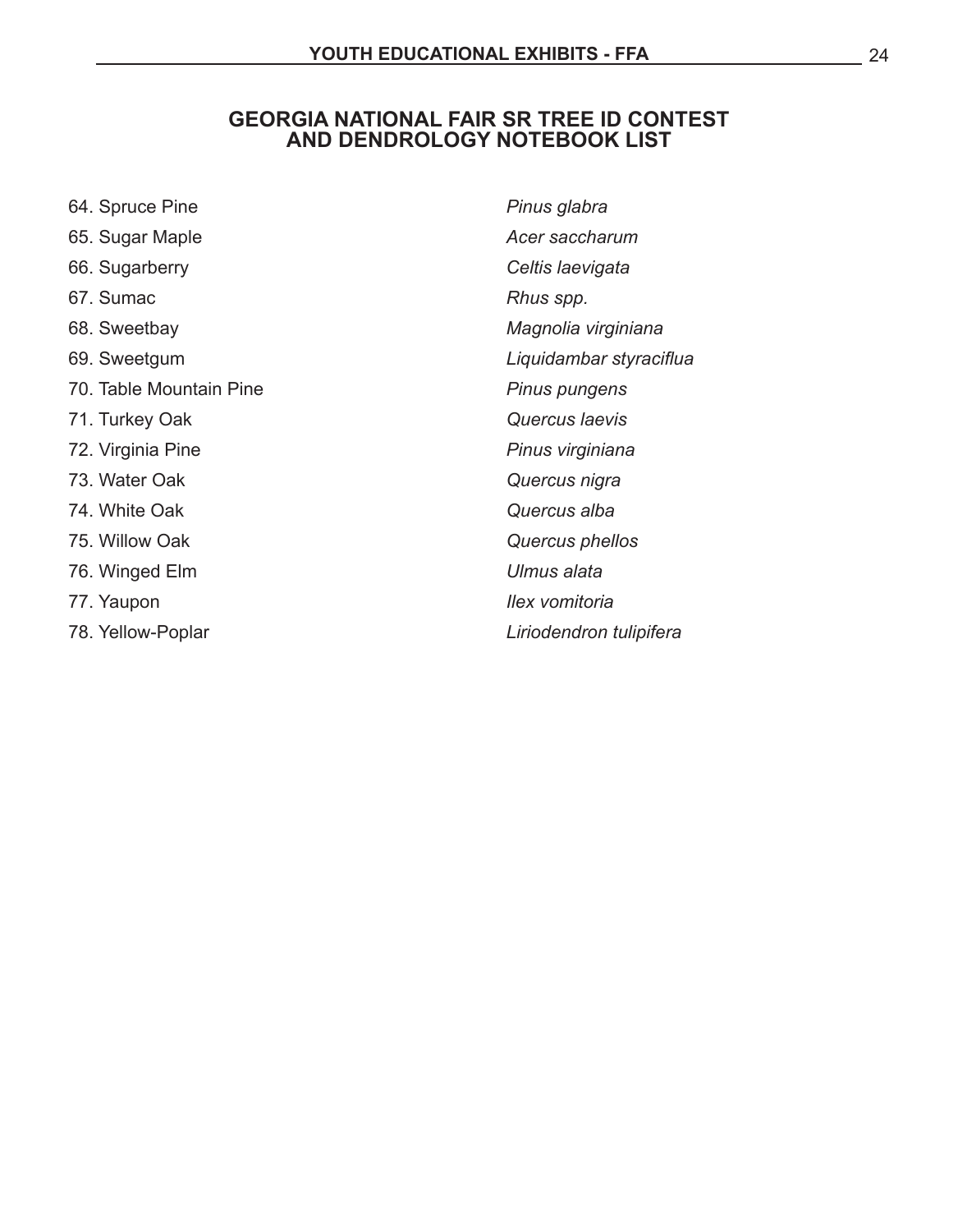#### **GEORGIA NATIONAL FAIR SR TREE ID CONTEST AND DENDROLOGY NOTEBOOK LIST**

| 64. Spruce Pine         | Pinus glabra            |
|-------------------------|-------------------------|
| 65. Sugar Maple         | Acer saccharum          |
| 66. Sugarberry          | Celtis laevigata        |
| 67. Sumac               | Rhus spp.               |
| 68. Sweetbay            | Magnolia virginiana     |
| 69. Sweetgum            | Liquidambar styraciflua |
| 70. Table Mountain Pine | Pinus pungens           |
| 71. Turkey Oak          | Quercus laevis          |
| 72. Virginia Pine       | Pinus virginiana        |
| 73. Water Oak           | Quercus nigra           |
| 74. White Oak           | Quercus alba            |
| 75. Willow Oak          | Quercus phellos         |
| 76. Winged Elm          | Ulmus alata             |
| 77. Yaupon              | Ilex vomitoria          |
| 78. Yellow-Poplar       | Liriodendron tulipifera |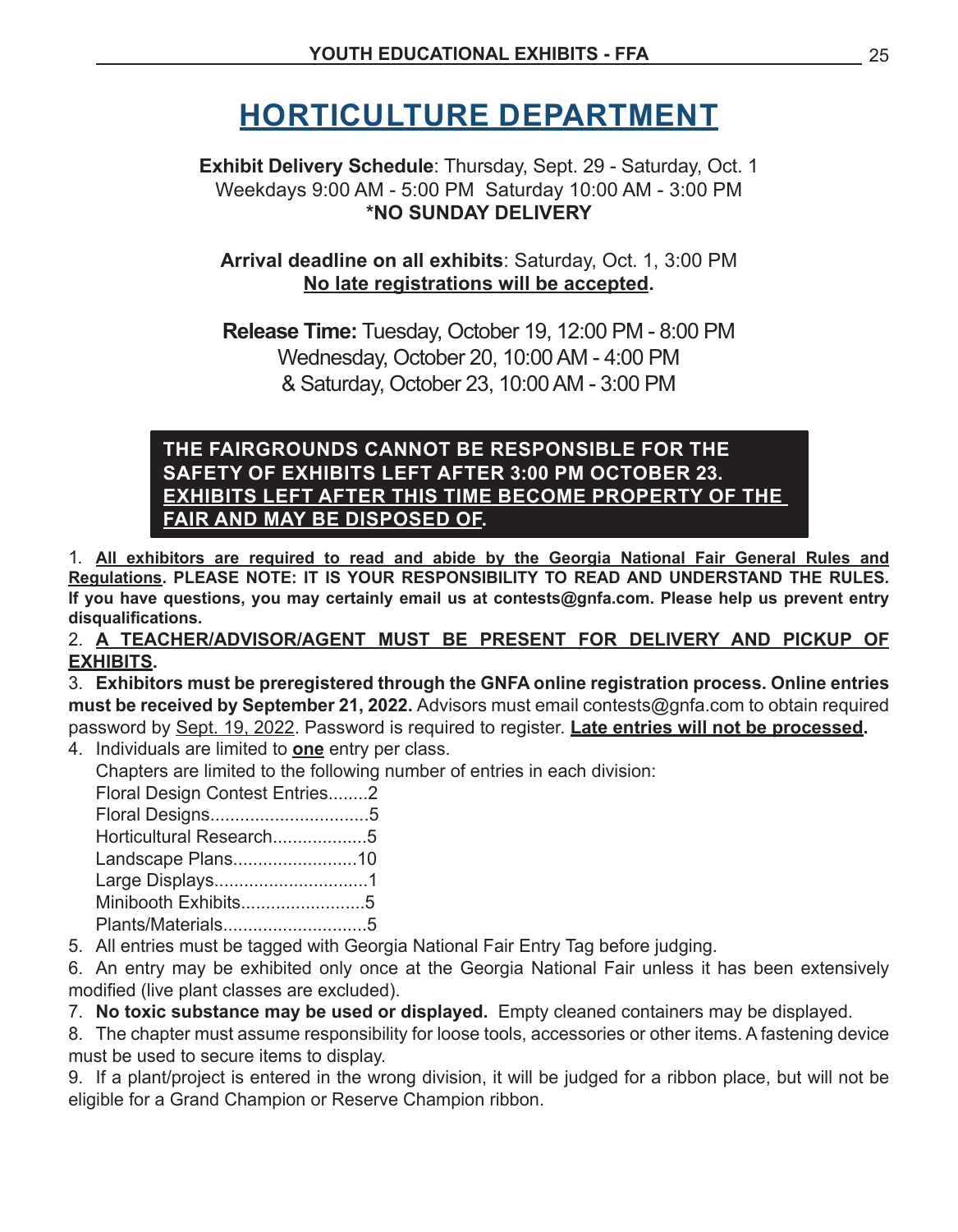## **HORTICULTURE DEPARTMENT**

**Exhibit Delivery Schedule**: Thursday, Sept. 29 - Saturday, Oct. 1 Weekdays 9:00 AM - 5:00 PM Saturday 10:00 AM - 3:00 PM **\*NO SUNDAY DELIVERY**

**Arrival deadline on all exhibits**: Saturday, Oct. 1, 3:00 PM **No late registrations will be accepted.** 

**Release Time:** Tuesday, October 19, 12:00 PM - 8:00 PM Wednesday, October 20, 10:00AM - 4:00 PM & Saturday, October 23, 10:00AM - 3:00 PM

#### **THE FAIRGROUNDS CANNOT BE RESPONSIBLE FOR THE SAFETY OF EXHIBITS LEFT AFTER 3:00 PM OCTOBER 23. EXHIBITS LEFT AFTER THIS TIME BECOME PROPERTY OF THE FAIR AND MAY BE DISPOSED OF.**

1. **All exhibitors are required to read and abide by the Georgia National Fair General Rules and Regulations. PLEASE NOTE: IT IS YOUR RESPONSIBILITY TO READ AND UNDERSTAND THE RULES. If you have questions, you may certainly email us at contests@gnfa.com. Please help us prevent entry disqualifications.**

2. **A TEACHER/ADVISOR/AGENT MUST BE PRESENT FOR DELIVERY AND PICKUP OF EXHIBITS.** 

3. **Exhibitors must be preregistered through the GNFA online registration process. Online entries must be received by September 21, 2022.** Advisors must email contests@gnfa.com to obtain required password by Sept. 19, 2022. Password is required to register. **Late entries will not be processed.** 

4. Individuals are limited to **one** entry per class.

 Chapters are limited to the following number of entries in each division:

| Floral Design Contest Entries2 |  |
|--------------------------------|--|
|                                |  |
| Horticultural Research5        |  |
| Landscape Plans10              |  |
| Large Displays1                |  |
| Minibooth Exhibits5            |  |
| Plants/Materials5              |  |

5. All entries must be tagged with Georgia National Fair Entry Tag before judging.

6. An entry may be exhibited only once at the Georgia National Fair unless it has been extensively modified (live plant classes are excluded).

7. No toxic substance may be used or displayed. Empty cleaned containers may be displayed.

8. The chapter must assume responsibility for loose tools, accessories or other items. A fastening device must be used to secure items to display.

9. If a plant/project is entered in the wrong division, it will be judged for a ribbon place, but will not be eligible for a Grand Champion or Reserve Champion ribbon.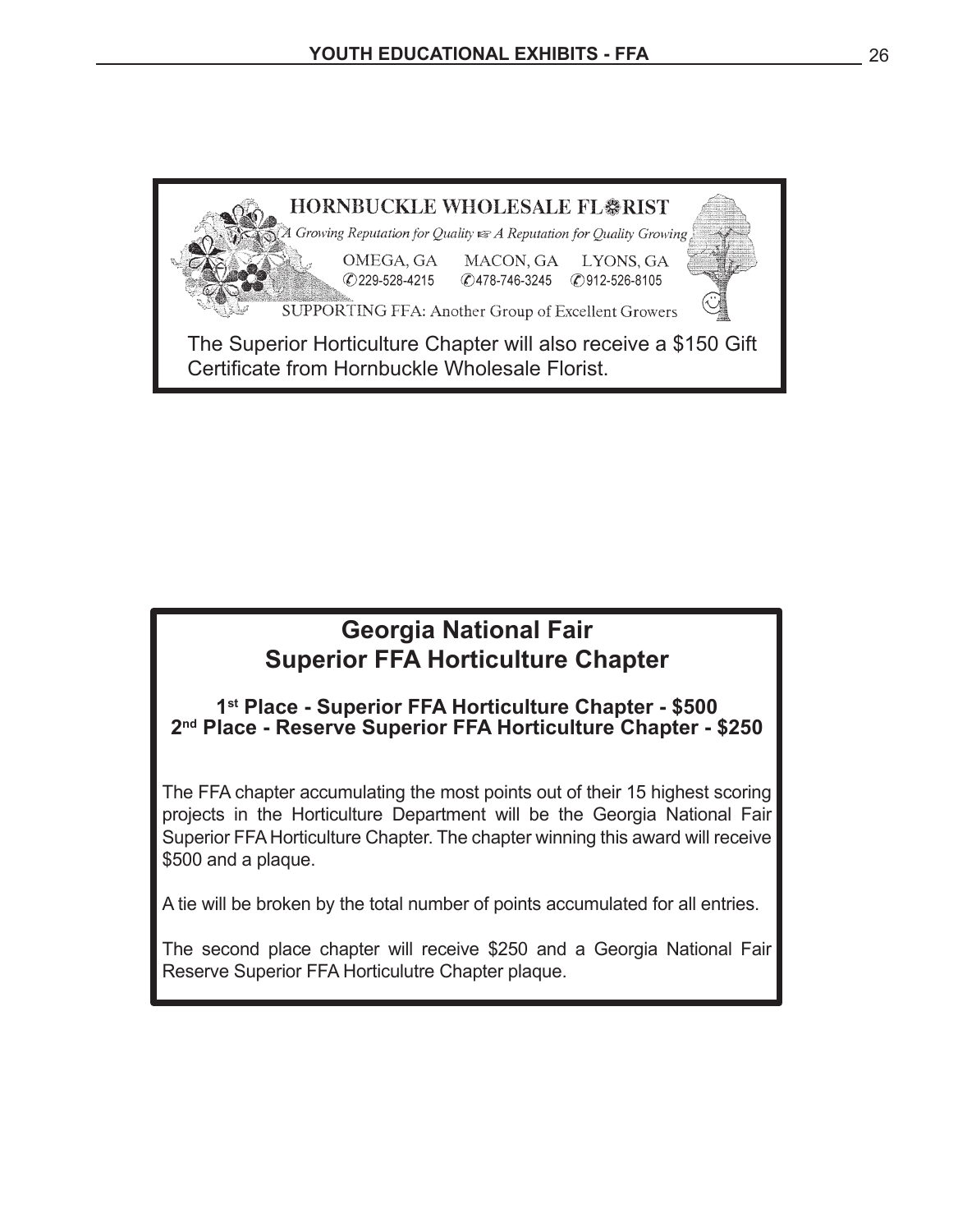

### **Georgia National Fair Superior FFA Horticulture Chapter**

#### **1st Place - Superior FFA Horticulture Chapter - \$500 2nd Place - Reserve Superior FFA Horticulture Chapter - \$250**

The FFA chapter accumulating the most points out of their 15 highest scoring projects in the Horticulture Department will be the Georgia National Fair Superior FFA Horticulture Chapter. The chapter winning this award will receive \$500 and a plaque.

A tie will be broken by the total number of points accumulated for all entries.

The second place chapter will receive \$250 and a Georgia National Fair Reserve Superior FFA Horticulutre Chapter plaque.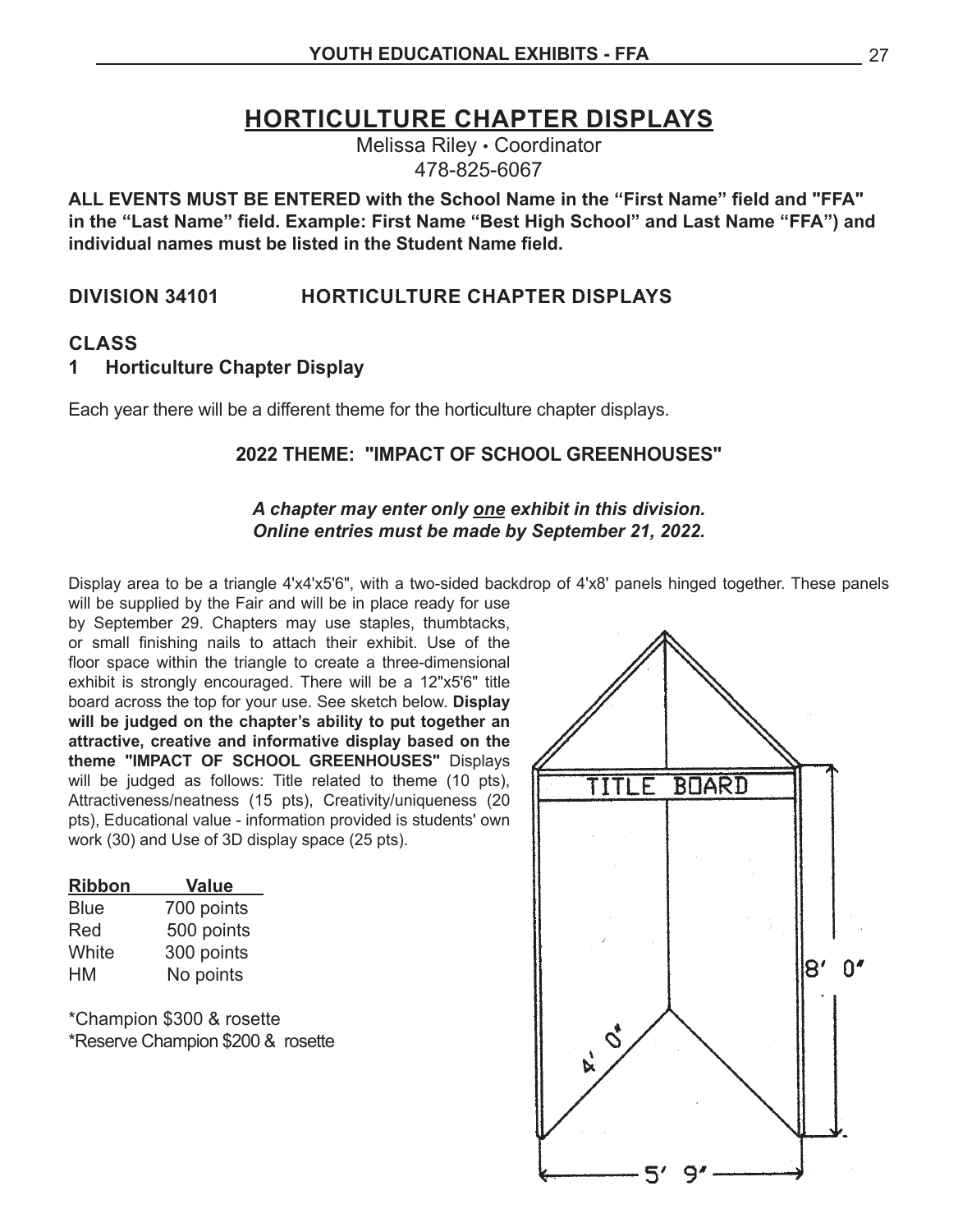### **HORTICULTURE CHAPTER DISPLAYS**

Melissa Riley • Coordinator 478-825-6067

**ALL EVENTS MUST BE ENTERED with the School Name in the "First Name" field and "FFA" in the "Last Name" field. Example: First Name "Best High School" and Last Name "FFA") and individual names must be listed in the Student Name field.**

#### **DIVISION 34101 HORTICULTURE CHAPTER DISPLAYS**

#### **CLASS**

#### **1 Horticulture Chapter Display**

Each year there will be a different theme for the horticulture chapter displays.

#### **2022 THEME: "IMPACT OF SCHOOL GREENHOUSES"**

#### *A chapter may enter only one exhibit in this division. Online entries must be made by September 21, 2022.*

Display area to be a triangle 4'x4'x5'6", with a two-sided backdrop of 4'x8' panels hinged together. These panels will be supplied by the Fair and will be in place ready for use

by September 29. Chapters may use staples, thumbtacks, or small finishing nails to attach their exhibit. Use of the floor space within the triangle to create a three-dimensional exhibit is strongly encouraged. There will be a 12"x5'6" title board across the top for your use. See sketch below. **Display will be judged on the chapter's ability to put together an attractive, creative and informative display based on the theme "IMPACT OF SCHOOL GREENHOUSES"** Displays will be judged as follows: Title related to theme (10 pts), Attractiveness/neatness (15 pts), Creativity/uniqueness (20 pts), Educational value - information provided is students' own work (30) and Use of 3D display space (25 pts).

| <b>Ribbon</b> | <b>Value</b> |
|---------------|--------------|
| <b>Blue</b>   | 700 points   |
| Red           | 500 points   |
| White         | 300 points   |
| НM            | No points    |

\*Champion \$300 & rosette \*Reserve Champion \$200 & rosette

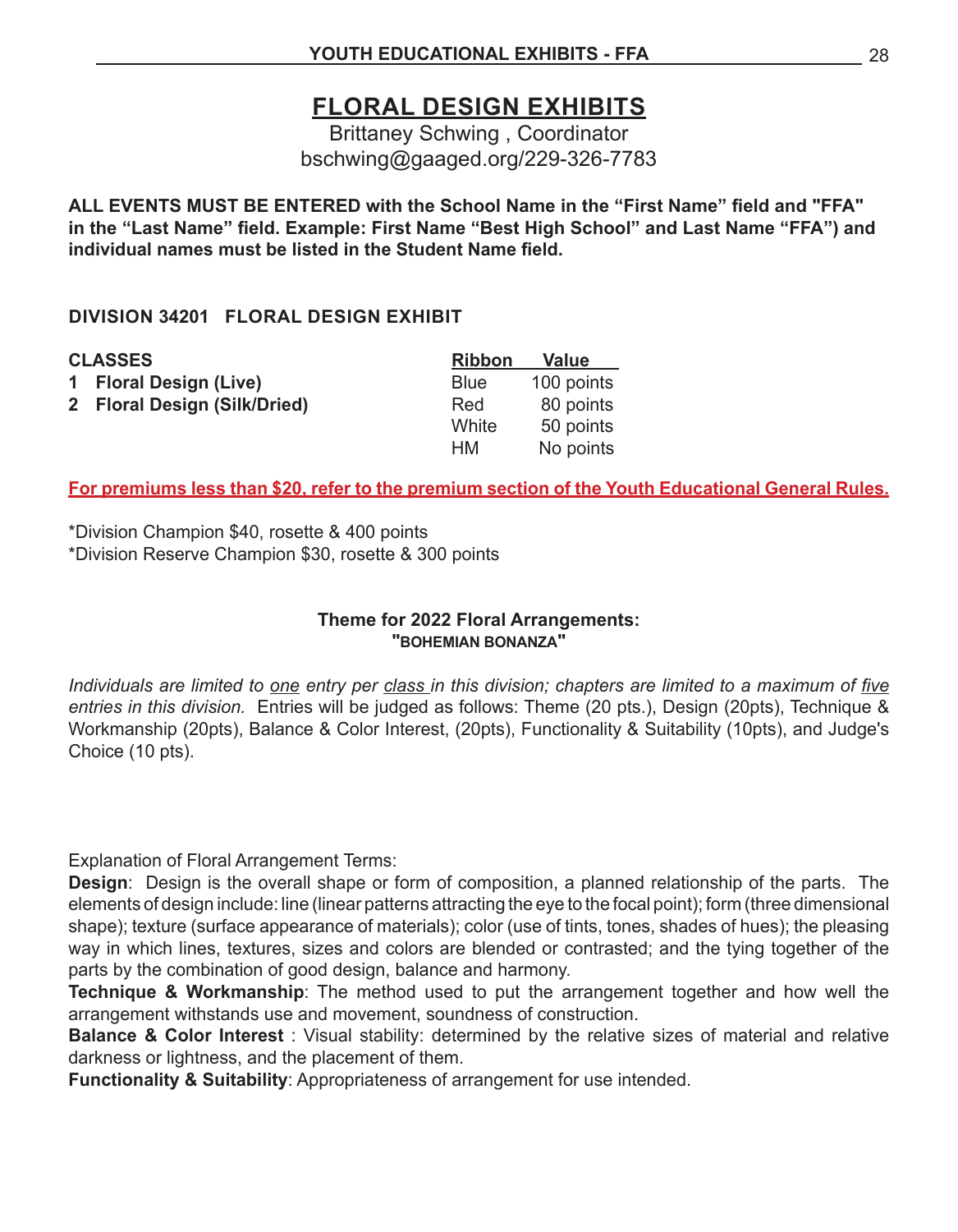### **FLORAL DESIGN EXHIBITS**

Brittaney Schwing , Coordinator bschwing@gaaged.org/229-326-7783

**ALL EVENTS MUST BE ENTERED with the School Name in the "First Name" field and "FFA" in the "Last Name" field. Example: First Name "Best High School" and Last Name "FFA") and individual names must be listed in the Student Name field.**

#### **DIVISION 34201 FLORAL DESIGN EXHIBIT**

| 1 Floral Design (Live)<br><b>Blue</b>            | <b>Value</b> |
|--------------------------------------------------|--------------|
|                                                  | 100 points   |
| 2 Floral Design (Silk/Dried)<br>80 points<br>Red |              |
| White<br>50 points                               |              |
| No points<br>HМ                                  |              |

#### **For premiums less than \$20, refer to the premium section of the Youth Educational General Rules.**

\*Division Champion \$40, rosette & 400 points \*Division Reserve Champion \$30, rosette & 300 points

#### **Theme for 2022 Floral Arrangements: "BOHEMIAN BONANZA"**

*Individuals are limited to one entry per class in this division; chapters are limited to a maximum of five entries in this division.* Entries will be judged as follows: Theme (20 pts.), Design (20pts), Technique & Workmanship (20pts), Balance & Color Interest, (20pts), Functionality & Suitability (10pts), and Judge's Choice (10 pts).

Explanation of Floral Arrangement Terms:

**Design**: Design is the overall shape or form of composition, a planned relationship of the parts. The elements of design include: line (linear patterns attracting the eye to the focal point); form (three dimensional shape); texture (surface appearance of materials); color (use of tints, tones, shades of hues); the pleasing way in which lines, textures, sizes and colors are blended or contrasted; and the tying together of the parts by the combination of good design, balance and harmony.

**Technique & Workmanship**: The method used to put the arrangement together and how well the arrangement withstands use and movement, soundness of construction.

**Balance & Color Interest** : Visual stability: determined by the relative sizes of material and relative darkness or lightness, and the placement of them.

**Functionality & Suitability**: Appropriateness of arrangement for use intended.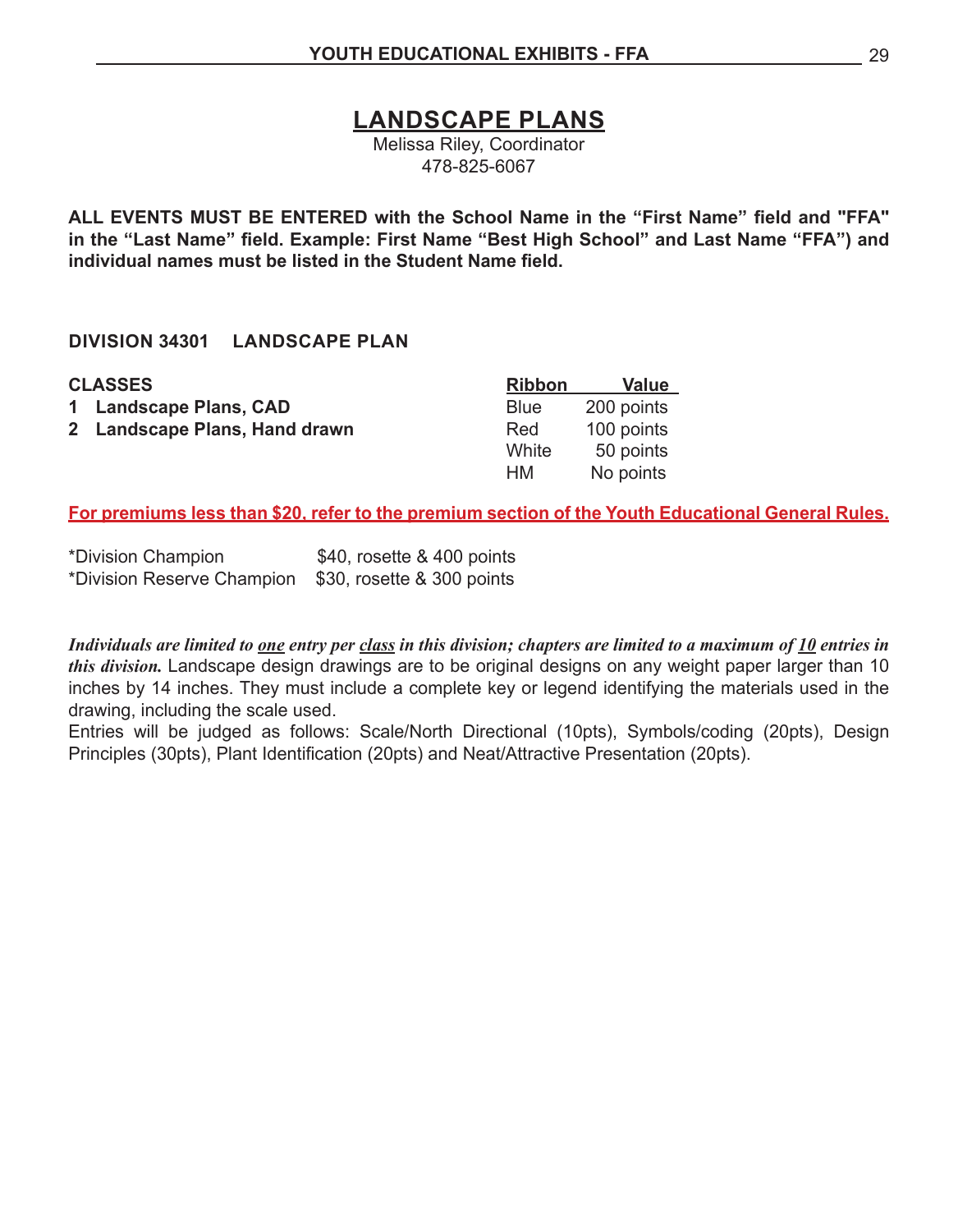**LANDSCAPE PLANS**

Melissa Riley, Coordinator 478-825-6067

**ALL EVENTS MUST BE ENTERED with the School Name in the "First Name" field and "FFA" in the "Last Name" field. Example: First Name "Best High School" and Last Name "FFA") and individual names must be listed in the Student Name field.**

#### **DIVISION 34301 LANDSCAPE PLAN**

| <b>CLASSES</b>                | <b>Ribbon</b> | <b>Value</b> |
|-------------------------------|---------------|--------------|
| 1 Landscape Plans, CAD        | <b>Blue</b>   | 200 points   |
| 2 Landscape Plans, Hand drawn | Red           | 100 points   |
|                               | White         | 50 points    |
|                               | <b>HM</b>     | No points    |

**For premiums less than \$20, refer to the premium section of the Youth Educational General Rules.**

\*Division Champion \$40, rosette & 400 points \*Division Reserve Champion \$30, rosette & 300 points

*Individuals are limited to one entry per class in this division; chapters are limited to a maximum of 10 entries in this division.* Landscape design drawings are to be original designs on any weight paper larger than 10 inches by 14 inches. They must include a complete key or legend identifying the materials used in the drawing, including the scale used.

Entries will be judged as follows: Scale/North Directional (10pts), Symbols/coding (20pts), Design Principles (30pts), Plant Identification (20pts) and Neat/Attractive Presentation (20pts).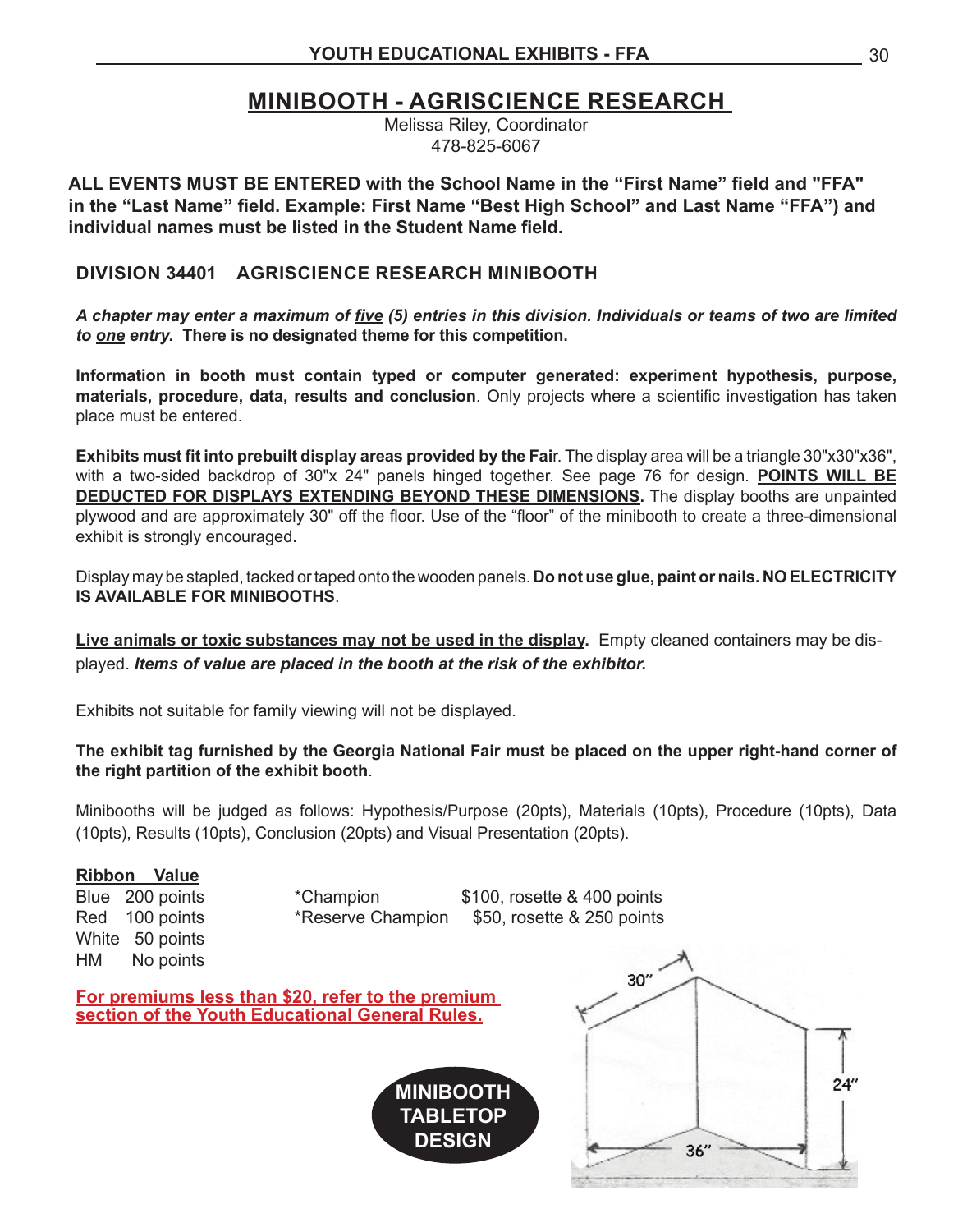### **MINIBOOTH - AGRISCIENCE RESEARCH**

Melissa Riley, Coordinator 478-825-6067

**ALL EVENTS MUST BE ENTERED with the School Name in the "First Name" field and "FFA" in the "Last Name" field. Example: First Name "Best High School" and Last Name "FFA") and individual names must be listed in the Student Name field.**

#### **DIVISION 34401 AGRISCIENCE RESEARCH MINIBOOTH**

*A chapter may enter a maximum of five (5) entries in this division. Individuals or teams of two are limited to one entry.* **There is no designated theme for this competition.** 

**Information in booth must contain typed or computer generated: experiment hypothesis, purpose, materials, procedure, data, results and conclusion**. Only projects where a scientific investigation has taken place must be entered.

**Exhibits must fit into prebuilt display areas provided by the Fai**r. The display area will be a triangle 30"x30"x36", with a two-sided backdrop of 30"x 24" panels hinged together. See page 76 for design. **POINTS WILL BE DEDUCTED FOR DISPLAYS EXTENDING BEYOND THESE DIMENSIONS.** The display booths are unpainted plywood and are approximately 30" off the floor. Use of the "floor" of the minibooth to create a three-dimensional exhibit is strongly encouraged.

Display may be stapled, tacked ortaped onto the wooden panels. **Do not use glue, paint or nails. NO ELECTRICITY IS AVAILABLE FOR MINIBOOTHS**.

**Live animals or toxic substances may not be used in the display.** Empty cleaned containers may be displayed. *Items of value are placed in the booth at the risk of the exhibitor.*

Exhibits not suitable for family viewing will not be displayed.

**The exhibit tag furnished by the Georgia National Fair must be placed on the upper right-hand corner of the right partition of the exhibit booth**.

Minibooths will be judged as follows: Hypothesis/Purpose (20pts), Materials (10pts), Procedure (10pts), Data (10pts), Results (10pts), Conclusion (20pts) and Visual Presentation (20pts).

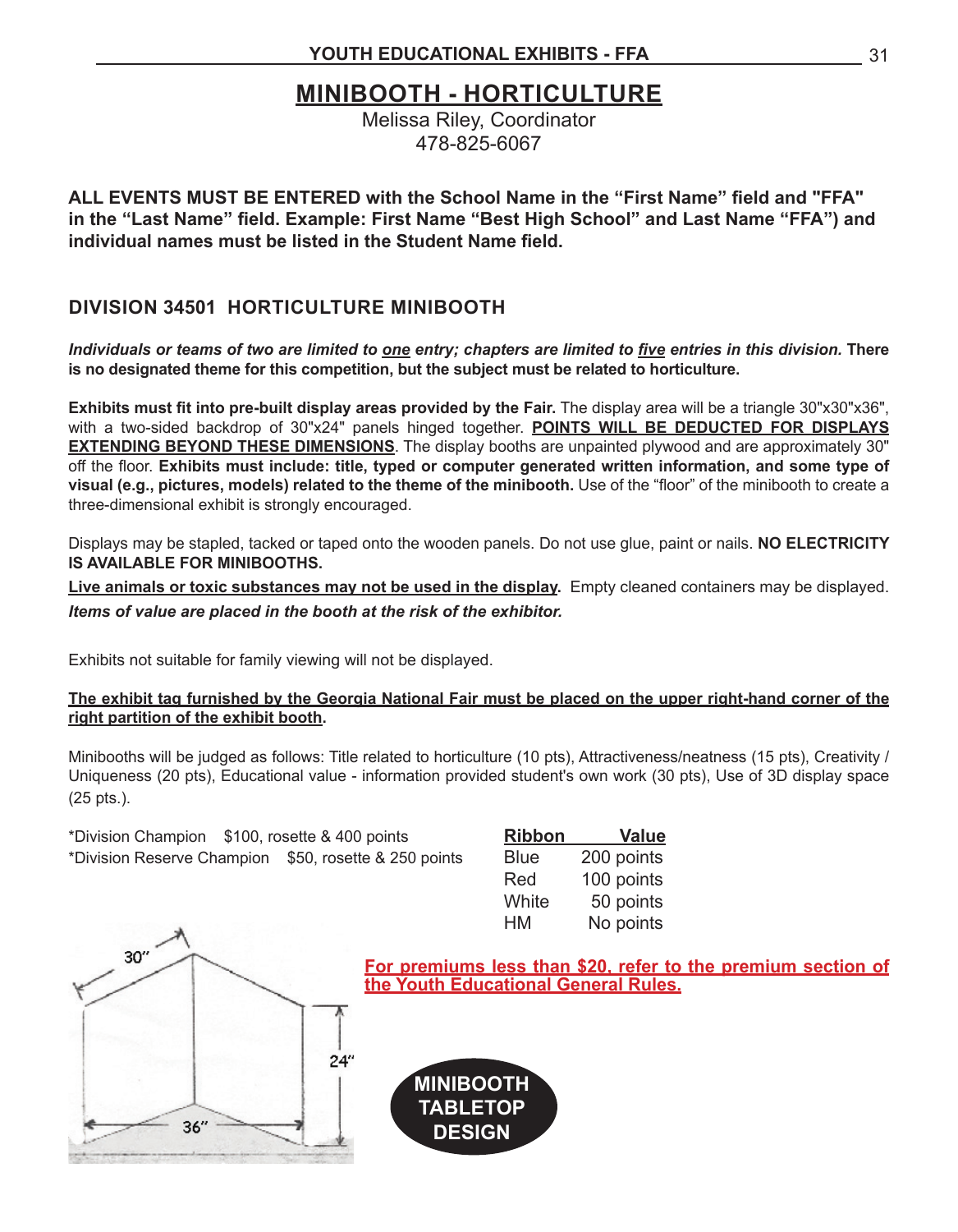### **MINIBOOTH - HORTICULTURE**

Melissa Riley, Coordinator 478-825-6067

**ALL EVENTS MUST BE ENTERED with the School Name in the "First Name" field and "FFA" in the "Last Name" field. Example: First Name "Best High School" and Last Name "FFA") and individual names must be listed in the Student Name field.**

#### **DIVISION 34501 HORTICULTURE MINIBOOTH**

*Individuals or teams of two are limited to one entry; chapters are limited to five entries in this division.* **There is no designated theme for this competition, but the subject must be related to horticulture.** 

**Exhibits must fit into pre-built display areas provided by the Fair.** The display area will be a triangle 30"x30"x36", with a two-sided backdrop of 30"x24" panels hinged together. **POINTS WILL BE DEDUCTED FOR DISPLAYS EXTENDING BEYOND THESE DIMENSIONS**. The display booths are unpainted plywood and are approximately 30" off the floor. **Exhibits must include: title, typed or computer generated written information, and some type of visual (e.g., pictures, models) related to the theme of the minibooth.** Use of the "floor" of the minibooth to create a three-dimensional exhibit is strongly encouraged.

Displays may be stapled, tacked or taped onto the wooden panels. Do not use glue, paint or nails. **NO ELECTRICITY IS AVAILABLE FOR MINIBOOTHS.**

**Live animals or toxic substances may not be used in the display.** Empty cleaned containers may be displayed. *Items of value are placed in the booth at the risk of the exhibitor.*

Exhibits not suitable for family viewing will not be displayed.

#### **The exhibit tag furnished by the Georgia National Fair must be placed on the upper right-hand corner of the right partition of the exhibit booth.**

Minibooths will be judged as follows: Title related to horticulture (10 pts), Attractiveness/neatness (15 pts), Creativity / Uniqueness (20 pts), Educational value - information provided student's own work (30 pts), Use of 3D display space (25 pts.).

| *Division Champion \$100, rosette & 400 points |                                                       | <b>Ribbon</b> | <b>Value</b> |
|------------------------------------------------|-------------------------------------------------------|---------------|--------------|
|                                                | *Division Reserve Champion \$50, rosette & 250 points | <b>Blue</b>   | 200 points   |
|                                                |                                                       | Red           | 100 points   |
|                                                |                                                       | White         | 50 points    |
|                                                |                                                       | HM.           | No points    |



**For premiums less than \$20, refer to the premium section of the Youth Educational General Rules.**

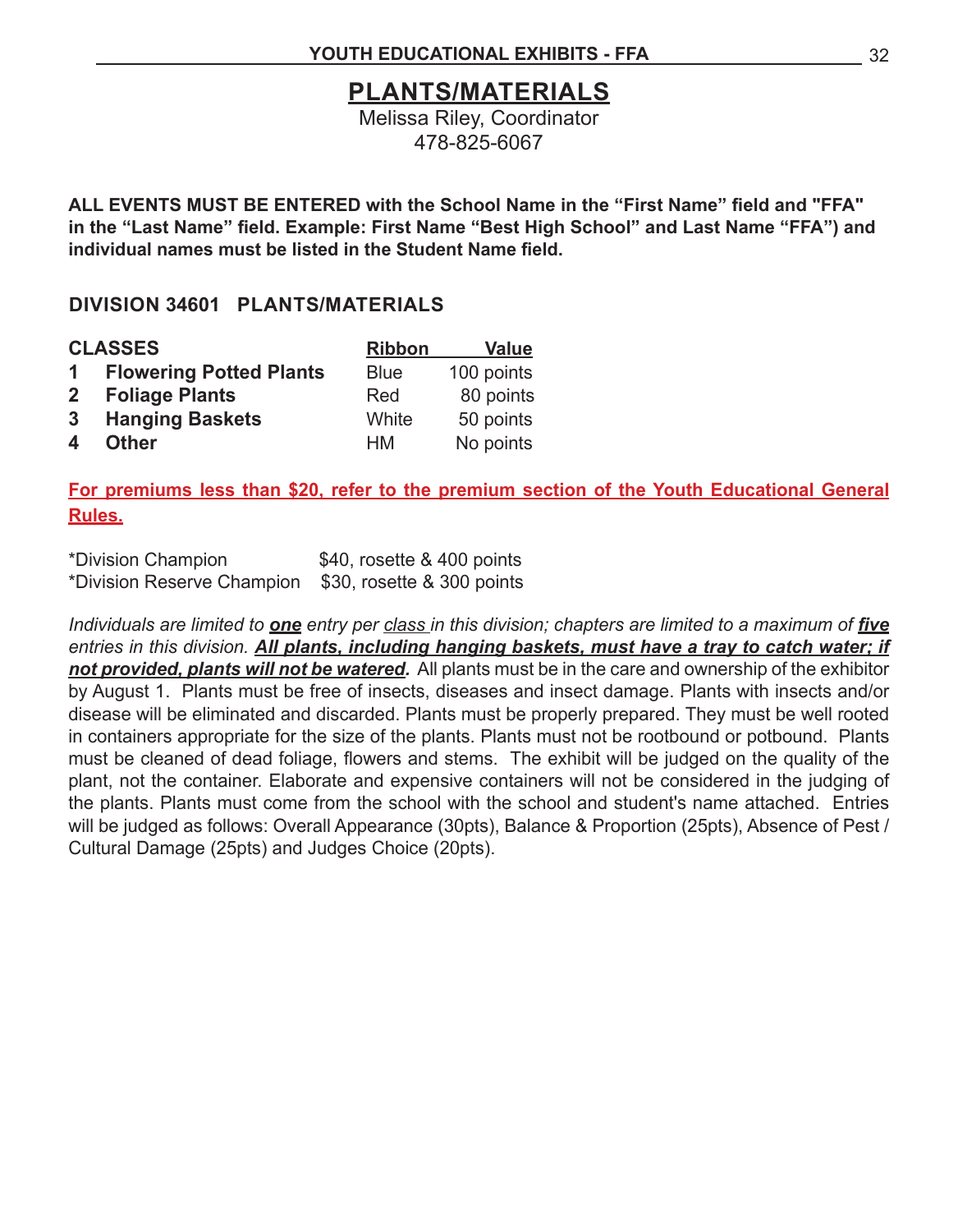### **PLANTS/MATERIALS**

Melissa Riley, Coordinator 478-825-6067

**ALL EVENTS MUST BE ENTERED with the School Name in the "First Name" field and "FFA" in the "Last Name" field. Example: First Name "Best High School" and Last Name "FFA") and individual names must be listed in the Student Name field.**

#### **DIVISION 34601 PLANTS/MATERIALS**

|   | <b>CLASSES</b>            | <b>Ribbon</b> | <b>Value</b> |
|---|---------------------------|---------------|--------------|
|   | 1 Flowering Potted Plants | <b>Blue</b>   | 100 points   |
|   | 2 Foliage Plants          | Red           | 80 points    |
|   | 3 Hanging Baskets         | White         | 50 points    |
| 4 | <b>Other</b>              | <b>HM</b>     | No points    |

**For premiums less than \$20, refer to the premium section of the Youth Educational General Rules.**

| *Division Champion                                    | \$40, rosette & 400 points |
|-------------------------------------------------------|----------------------------|
| *Division Reserve Champion \$30, rosette & 300 points |                            |

*Individuals are limited to one entry per class in this division; chapters are limited to a maximum of five entries in this division. All plants, including hanging baskets, must have a tray to catch water; if not provided, plants will not be watered.* All plants must be in the care and ownership of the exhibitor by August 1. Plants must be free of insects, diseases and insect damage. Plants with insects and/or disease will be eliminated and discarded. Plants must be properly prepared. They must be well rooted in containers appropriate for the size of the plants. Plants must not be rootbound or potbound. Plants must be cleaned of dead foliage, flowers and stems. The exhibit will be judged on the quality of the plant, not the container. Elaborate and expensive containers will not be considered in the judging of the plants. Plants must come from the school with the school and student's name attached. Entries will be judged as follows: Overall Appearance (30pts), Balance & Proportion (25pts), Absence of Pest / Cultural Damage (25pts) and Judges Choice (20pts).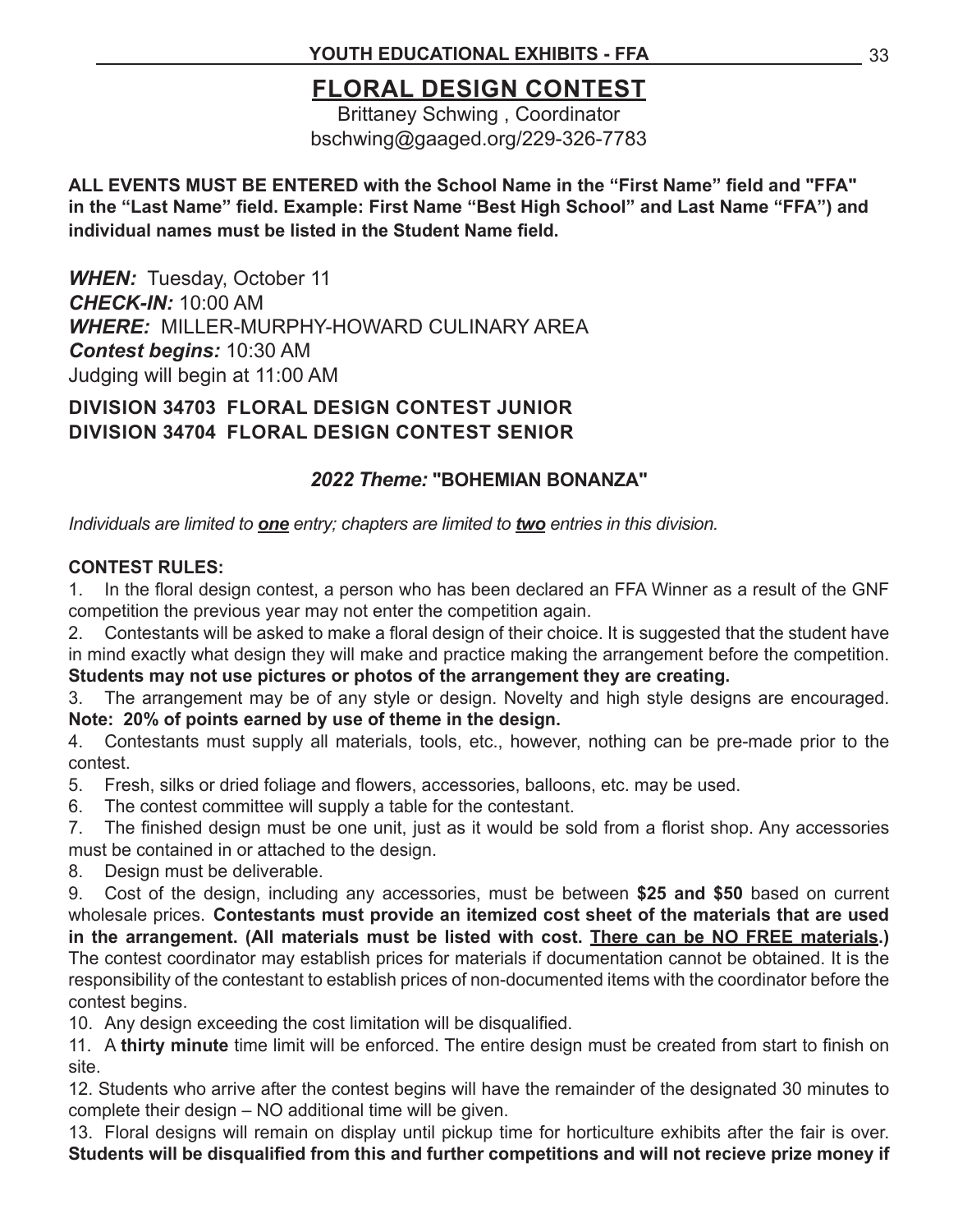### **FLORAL DESIGN CONTEST**

Brittaney Schwing , Coordinator bschwing@gaaged.org/229-326-7783

#### **ALL EVENTS MUST BE ENTERED with the School Name in the "First Name" field and "FFA" in the "Last Name" field. Example: First Name "Best High School" and Last Name "FFA") and individual names must be listed in the Student Name field.**

*WHEN:* Tuesday, October 11 *CHECK-IN:* 10:00 AM *WHERE:* MILLER-MURPHY-HOWARD CULINARY AREA *Contest begins:* 10:30 AM Judging will begin at 11:00 AM

**DIVISION 34703 FLORAL DESIGN CONTEST JUNIOR DIVISION 34704 FLORAL DESIGN CONTEST SENIOR**

#### *2022 Theme:* **"BOHEMIAN BONANZA"**

*Individuals are limited to one entry; chapters are limited to two entries in this division.* 

#### **CONTEST RULES:**

1. In the floral design contest, a person who has been declared an FFA Winner as a result of the GNF competition the previous year may not enter the competition again.

2. Contestants will be asked to make a floral design of their choice. It is suggested that the student have in mind exactly what design they will make and practice making the arrangement before the competition. **Students may not use pictures or photos of the arrangement they are creating.**

3. The arrangement may be of any style or design. Novelty and high style designs are encouraged. **Note: 20% of points earned by use of theme in the design.**

4. Contestants must supply all materials, tools, etc., however, nothing can be pre-made prior to the contest.

5. Fresh, silks or dried foliage and flowers, accessories, balloons, etc. may be used.

6. The contest committee will supply a table for the contestant.

7. The finished design must be one unit, just as it would be sold from a florist shop. Any accessories must be contained in or attached to the design.

8. Design must be deliverable.

9. Cost of the design, including any accessories, must be between **\$25 and \$50** based on current wholesale prices. **Contestants must provide an itemized cost sheet of the materials that are used in the arrangement. (All materials must be listed with cost. There can be NO FREE materials.)**  The contest coordinator may establish prices for materials if documentation cannot be obtained. It is the responsibility of the contestant to establish prices of non-documented items with the coordinator before the contest begins.

10. Any design exceeding the cost limitation will be disqualified.

11. A **thirty minute** time limit will be enforced. The entire design must be created from start to finish on site.

12. Students who arrive after the contest begins will have the remainder of the designated 30 minutes to complete their design – NO additional time will be given.

13. Floral designs will remain on display until pickup time for horticulture exhibits after the fair is over. **Students will be disqualified from this and further competitions and will not recieve prize money if**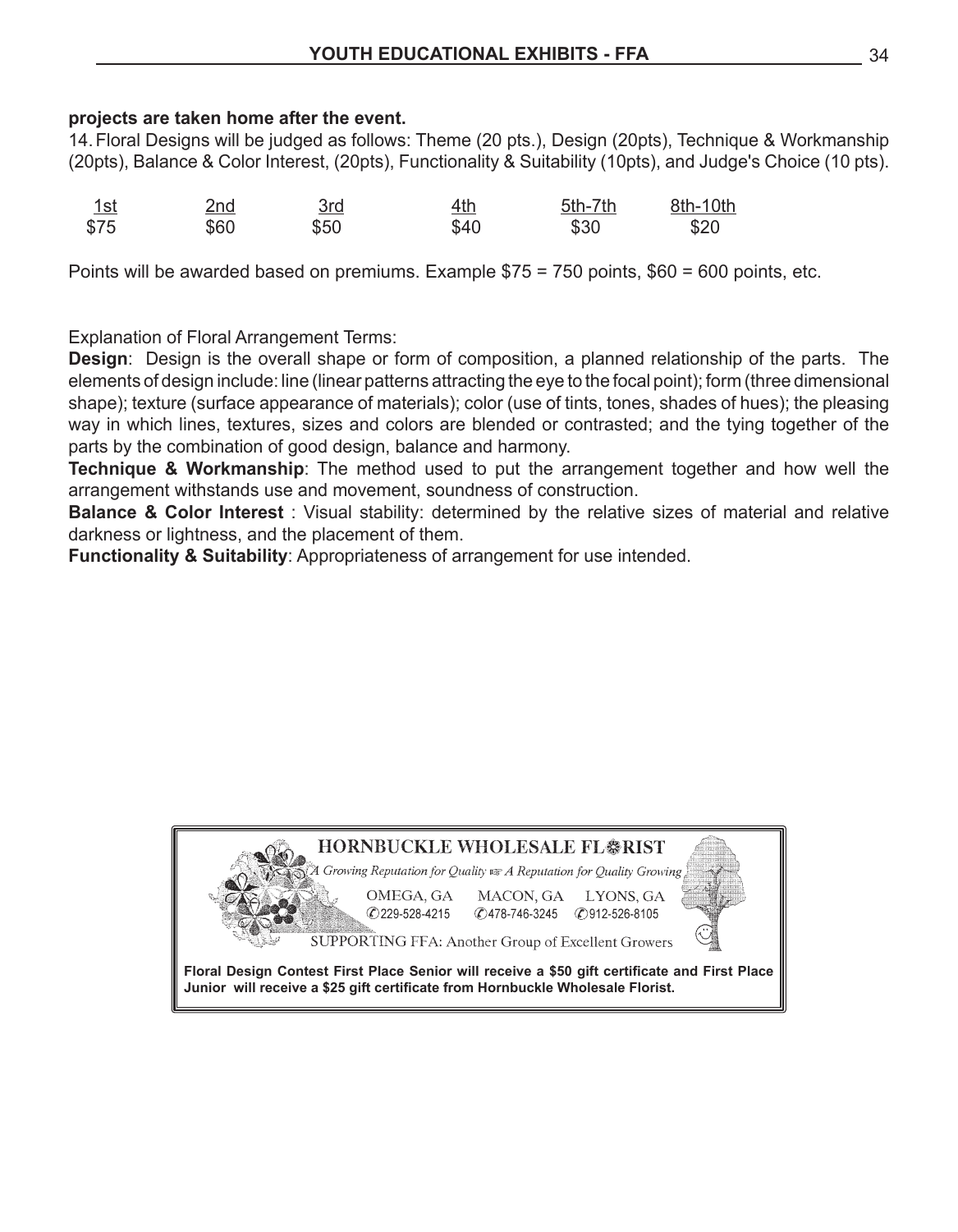#### **projects are taken home after the event.**

14. Floral Designs will be judged as follows: Theme (20 pts.), Design (20pts), Technique & Workmanship (20pts), Balance & Color Interest, (20pts), Functionality & Suitability (10pts), and Judge's Choice (10 pts).

| <u>1st</u> | <u>2nd</u> | 3rd  | <u>4th</u> | 5th-7th | 8th-10th |
|------------|------------|------|------------|---------|----------|
| \$75       | \$60       | \$50 | \$40       | \$30    | \$20     |

Points will be awarded based on premiums. Example \$75 = 750 points, \$60 = 600 points, etc.

Explanation of Floral Arrangement Terms:

**Design**: Design is the overall shape or form of composition, a planned relationship of the parts. The elements of design include: line (linear patterns attracting the eye to the focal point); form (three dimensional shape); texture (surface appearance of materials); color (use of tints, tones, shades of hues); the pleasing way in which lines, textures, sizes and colors are blended or contrasted; and the tying together of the parts by the combination of good design, balance and harmony.

**Technique & Workmanship**: The method used to put the arrangement together and how well the arrangement withstands use and movement, soundness of construction.

**Balance & Color Interest** : Visual stability: determined by the relative sizes of material and relative darkness or lightness, and the placement of them.

**Functionality & Suitability**: Appropriateness of arrangement for use intended.

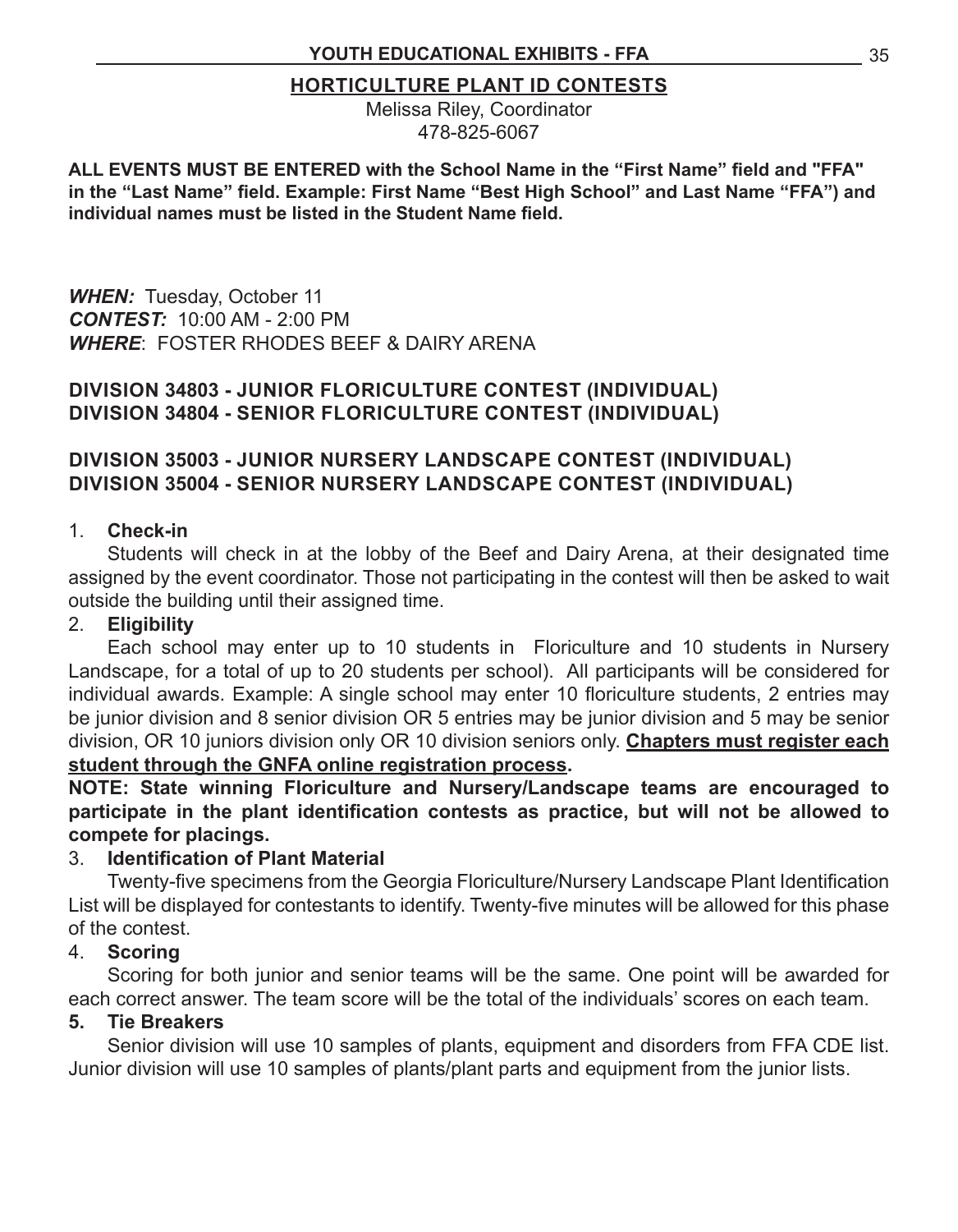#### **HORTICULTURE PLANT ID CONTESTS**

Melissa Riley, Coordinator 478-825-6067

**ALL EVENTS MUST BE ENTERED with the School Name in the "First Name" field and "FFA" in the "Last Name" field. Example: First Name "Best High School" and Last Name "FFA") and individual names must be listed in the Student Name field.**

*WHEN:* Tuesday, October 11 *CONTEST:* 10:00 AM - 2:00 PM *WHERE*: FOSTER RHODES BEEF & DAIRY ARENA

#### **DIVISION 34803 - JUNIOR FLORICULTURE CONTEST (INDIVIDUAL) DIVISION 34804 - SENIOR FLORICULTURE CONTEST (INDIVIDUAL)**

#### **DIVISION 35003 - JUNIOR NURSERY LANDSCAPE CONTEST (INDIVIDUAL) DIVISION 35004 - SENIOR NURSERY LANDSCAPE CONTEST (INDIVIDUAL)**

#### 1. **Check-in**

 Students will check in at the lobby of the Beef and Dairy Arena, at their designated time assigned by the event coordinator. Those not participating in the contest will then be asked to wait outside the building until their assigned time.

#### 2. **Eligibility**

Each school may enter up to 10 students in Floriculture and 10 students in Nursery Landscape, for a total of up to 20 students per school). All participants will be considered for individual awards. Example: A single school may enter 10 floriculture students, 2 entries may be junior division and 8 senior division OR 5 entries may be junior division and 5 may be senior division, OR 10 juniors division only OR 10 division seniors only. **Chapters must register each student through the GNFA online registration process.**

**NOTE: State winning Floriculture and Nursery/Landscape teams are encouraged to participate in the plant identification contests as practice, but will not be allowed to compete for placings.**

#### 3. **Identification of Plant Material**

 Twenty-five specimens from the Georgia Floriculture/Nursery Landscape Plant Identification List will be displayed for contestants to identify. Twenty-five minutes will be allowed for this phase of the contest.

#### 4. **Scoring**

 Scoring for both junior and senior teams will be the same. One point will be awarded for each correct answer. The team score will be the total of the individuals' scores on each team.

#### **5. Tie Breakers**

 Senior division will use 10 samples of plants, equipment and disorders from FFA CDE list. Junior division will use 10 samples of plants/plant parts and equipment from the junior lists.